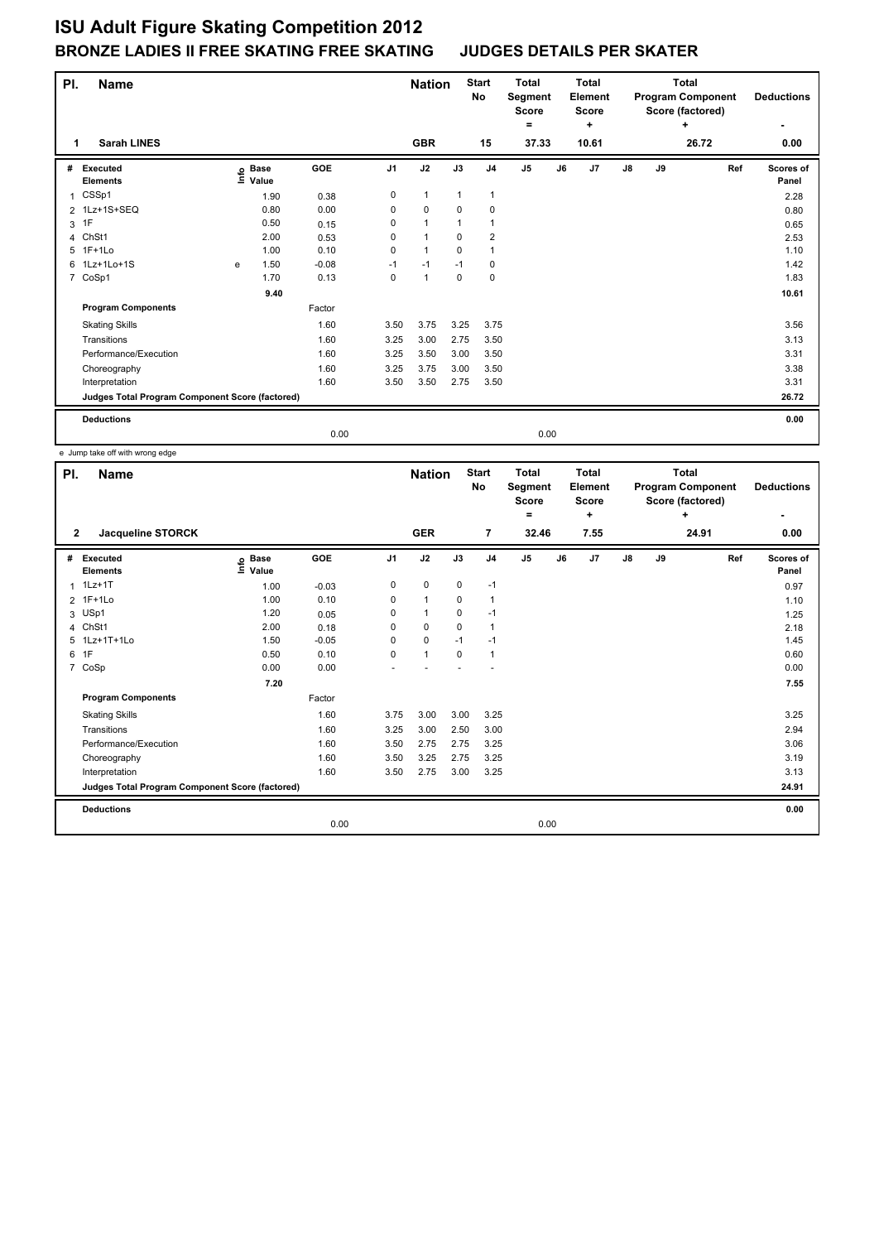| PI. | <b>Name</b>                                     |      |                      |         |                | <b>Nation</b>        |              | <b>Start</b><br><b>No</b> | <b>Total</b><br>Segment<br><b>Score</b><br>= |    | <b>Total</b><br>Element<br><b>Score</b><br>÷ |               |    | <b>Total</b><br><b>Program Component</b><br>Score (factored)<br>÷ |     | <b>Deductions</b>  |
|-----|-------------------------------------------------|------|----------------------|---------|----------------|----------------------|--------------|---------------------------|----------------------------------------------|----|----------------------------------------------|---------------|----|-------------------------------------------------------------------|-----|--------------------|
| 1   | <b>Sarah LINES</b>                              |      |                      |         |                | <b>GBR</b>           |              | 15                        | 37.33                                        |    | 10.61                                        |               |    | 26.72                                                             |     | 0.00               |
| #   | Executed<br><b>Elements</b>                     | lnfo | <b>Base</b><br>Value | GOE     | J <sub>1</sub> | J2                   | J3           | J <sub>4</sub>            | J <sub>5</sub>                               | J6 | J7                                           | $\mathsf{J}8$ | J9 |                                                                   | Ref | Scores of<br>Panel |
| 1   | CSSp1                                           |      | 1.90                 | 0.38    | 0              | $\mathbf{1}$         | $\mathbf{1}$ | $\mathbf{1}$              |                                              |    |                                              |               |    |                                                                   |     | 2.28               |
|     | 2 1Lz+1S+SEQ                                    |      | 0.80                 | 0.00    | 0              | $\mathbf 0$          | $\mathbf 0$  | $\mathbf 0$               |                                              |    |                                              |               |    |                                                                   |     | 0.80               |
| 3   | 1F                                              |      | 0.50                 | 0.15    | 0              | $\mathbf{1}$         | $\mathbf 1$  | $\mathbf{1}$              |                                              |    |                                              |               |    |                                                                   |     | 0.65               |
| 4   | ChSt1                                           |      | 2.00                 | 0.53    | 0              | $\overline{1}$       | 0            | 2                         |                                              |    |                                              |               |    |                                                                   |     | 2.53               |
| 5.  | 1F+1Lo                                          |      | 1.00                 | 0.10    | 0              | $\blacktriangleleft$ | $\Omega$     | $\mathbf{1}$              |                                              |    |                                              |               |    |                                                                   |     | 1.10               |
|     | 6 1Lz+1Lo+1S                                    | e    | 1.50                 | $-0.08$ | $-1$           | $-1$                 | $-1$         | 0                         |                                              |    |                                              |               |    |                                                                   |     | 1.42               |
|     | 7 CoSp1                                         |      | 1.70                 | 0.13    | 0              | $\overline{1}$       | $\mathbf 0$  | $\pmb{0}$                 |                                              |    |                                              |               |    |                                                                   |     | 1.83               |
|     |                                                 |      | 9.40                 |         |                |                      |              |                           |                                              |    |                                              |               |    |                                                                   |     | 10.61              |
|     | <b>Program Components</b>                       |      |                      | Factor  |                |                      |              |                           |                                              |    |                                              |               |    |                                                                   |     |                    |
|     | <b>Skating Skills</b>                           |      |                      | 1.60    | 3.50           | 3.75                 | 3.25         | 3.75                      |                                              |    |                                              |               |    |                                                                   |     | 3.56               |
|     | Transitions                                     |      |                      | 1.60    | 3.25           | 3.00                 | 2.75         | 3.50                      |                                              |    |                                              |               |    |                                                                   |     | 3.13               |
|     | Performance/Execution                           |      |                      | 1.60    | 3.25           | 3.50                 | 3.00         | 3.50                      |                                              |    |                                              |               |    |                                                                   |     | 3.31               |
|     | Choreography                                    |      |                      | 1.60    | 3.25           | 3.75                 | 3.00         | 3.50                      |                                              |    |                                              |               |    |                                                                   |     | 3.38               |
|     | Interpretation                                  |      |                      | 1.60    | 3.50           | 3.50                 | 2.75         | 3.50                      |                                              |    |                                              |               |    |                                                                   |     | 3.31               |
|     | Judges Total Program Component Score (factored) |      |                      |         |                |                      |              |                           |                                              |    |                                              |               |    |                                                                   |     | 26.72              |
|     | <b>Deductions</b>                               |      |                      |         |                |                      |              |                           |                                              |    |                                              |               |    |                                                                   |     | 0.00               |
|     |                                                 |      |                      | 0.00    |                |                      |              |                           | 0.00                                         |    |                                              |               |    |                                                                   |     |                    |

e Jump take off with wrong edge

| PI.            | Name                                            |                                  |         |                | <b>Nation</b>        |             | <b>Start</b><br>No | <b>Total</b><br>Segment<br>Score<br>= | Total<br>Element<br>Score<br>٠ |    |    | <b>Total</b><br><b>Program Component</b><br>Score (factored)<br>٠ | <b>Deductions</b>  |
|----------------|-------------------------------------------------|----------------------------------|---------|----------------|----------------------|-------------|--------------------|---------------------------------------|--------------------------------|----|----|-------------------------------------------------------------------|--------------------|
| $\mathbf{2}$   | Jacqueline STORCK                               |                                  |         |                | <b>GER</b>           |             | 7                  | 32.46                                 | 7.55                           |    |    | 24.91                                                             | 0.00               |
| #              | Executed<br><b>Elements</b>                     | <b>Base</b><br>e Base<br>⊑ Value | GOE     | J <sub>1</sub> | J2                   | J3          | J <sub>4</sub>     | J <sub>5</sub>                        | J7<br>J6                       | J8 | J9 | Ref                                                               | Scores of<br>Panel |
| 1              | $1Lz+1T$                                        | 1.00                             | $-0.03$ | 0              | $\mathbf 0$          | $\mathbf 0$ | $-1$               |                                       |                                |    |    |                                                                   | 0.97               |
|                | 2 1F+1Lo                                        | 1.00                             | 0.10    | 0              | $\mathbf{1}$         | 0           | $\mathbf{1}$       |                                       |                                |    |    |                                                                   | 1.10               |
| 3              | USp1                                            | 1.20                             | 0.05    | 0              | $\blacktriangleleft$ | 0           | -1                 |                                       |                                |    |    |                                                                   | 1.25               |
| 4              | ChSt1                                           | 2.00                             | 0.18    | 0              | $\mathbf 0$          | $\mathbf 0$ | $\mathbf{1}$       |                                       |                                |    |    |                                                                   | 2.18               |
| 5              | 1Lz+1T+1Lo                                      | 1.50                             | $-0.05$ | 0              | $\mathbf 0$          | $-1$        | $-1$               |                                       |                                |    |    |                                                                   | 1.45               |
| 6              | 1F                                              | 0.50                             | 0.10    | 0              | $\mathbf{1}$         | $\mathbf 0$ | $\mathbf{1}$       |                                       |                                |    |    |                                                                   | 0.60               |
| $\overline{7}$ | CoSp                                            | 0.00                             | 0.00    |                |                      |             |                    |                                       |                                |    |    |                                                                   | 0.00               |
|                |                                                 | 7.20                             |         |                |                      |             |                    |                                       |                                |    |    |                                                                   | 7.55               |
|                | <b>Program Components</b>                       |                                  | Factor  |                |                      |             |                    |                                       |                                |    |    |                                                                   |                    |
|                | <b>Skating Skills</b>                           |                                  | 1.60    | 3.75           | 3.00                 | 3.00        | 3.25               |                                       |                                |    |    |                                                                   | 3.25               |
|                | Transitions                                     |                                  | 1.60    | 3.25           | 3.00                 | 2.50        | 3.00               |                                       |                                |    |    |                                                                   | 2.94               |
|                | Performance/Execution                           |                                  | 1.60    | 3.50           | 2.75                 | 2.75        | 3.25               |                                       |                                |    |    |                                                                   | 3.06               |
|                | Choreography                                    |                                  | 1.60    | 3.50           | 3.25                 | 2.75        | 3.25               |                                       |                                |    |    |                                                                   | 3.19               |
|                | Interpretation                                  |                                  | 1.60    | 3.50           | 2.75                 | 3.00        | 3.25               |                                       |                                |    |    |                                                                   | 3.13               |
|                | Judges Total Program Component Score (factored) |                                  |         |                |                      |             |                    |                                       |                                |    |    |                                                                   | 24.91              |
|                | <b>Deductions</b>                               |                                  |         |                |                      |             |                    |                                       |                                |    |    |                                                                   | 0.00               |
|                |                                                 |                                  | 0.00    |                |                      |             |                    | 0.00                                  |                                |    |    |                                                                   |                    |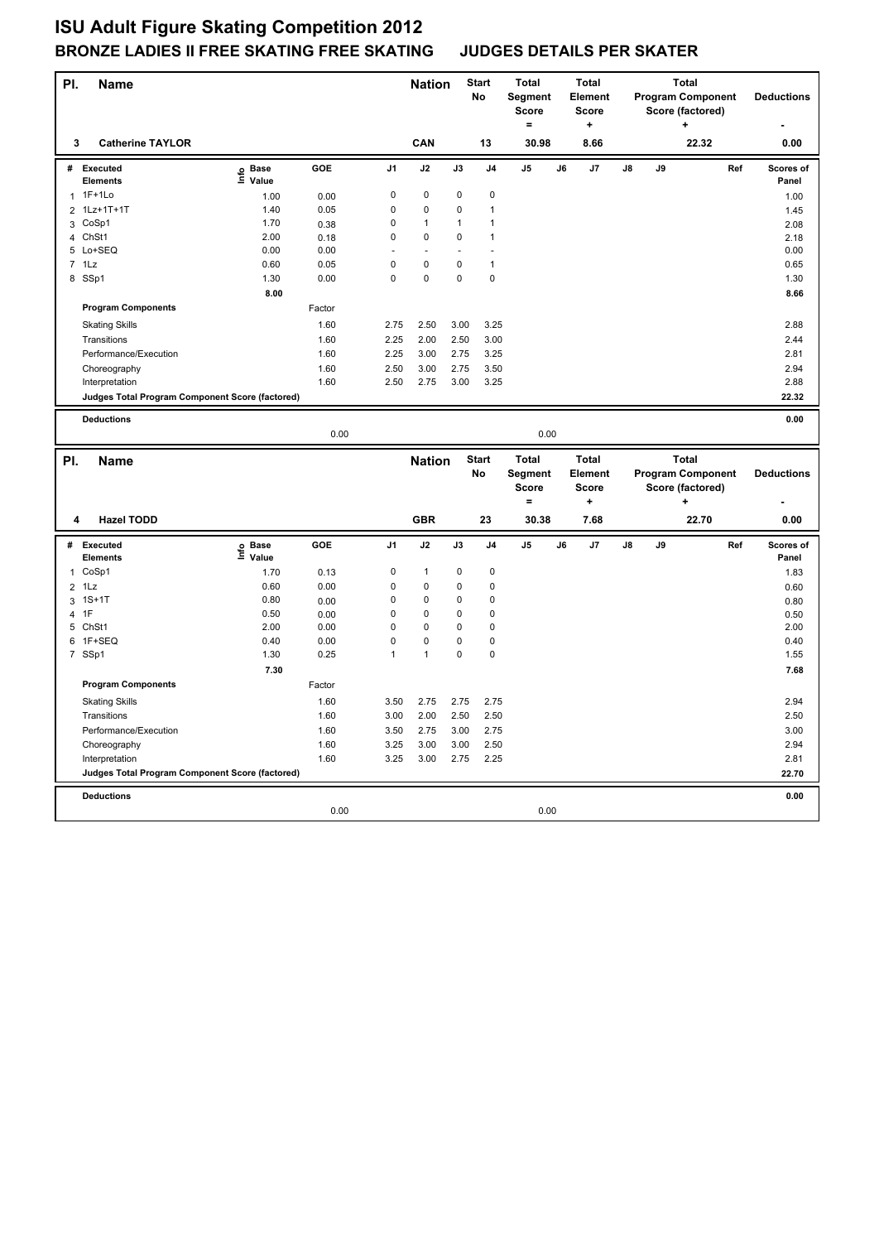| PI.            | <b>Name</b>                                     |                   |        |                | <b>Nation</b>        |             | <b>Start</b><br>No | <b>Total</b><br>Segment<br><b>Score</b><br>$\equiv$ |    | <b>Total</b><br>Element<br><b>Score</b><br>٠ |    |    | <b>Total</b><br><b>Program Component</b><br>Score (factored) |     | <b>Deductions</b>  |
|----------------|-------------------------------------------------|-------------------|--------|----------------|----------------------|-------------|--------------------|-----------------------------------------------------|----|----------------------------------------------|----|----|--------------------------------------------------------------|-----|--------------------|
| 3              | <b>Catherine TAYLOR</b>                         |                   |        |                | CAN                  |             | 13                 | 30.98                                               |    | 8.66                                         |    |    | 22.32                                                        |     | 0.00               |
| #              | <b>Executed</b><br><b>Elements</b>              | e Base<br>⊑ Value | GOE    | J <sub>1</sub> | J2                   | J3          | J <sub>4</sub>     | J5                                                  | J6 | J7                                           | J8 | J9 |                                                              | Ref | Scores of<br>Panel |
| 1              | 1F+1Lo                                          | 1.00              | 0.00   | $\mathsf 0$    | $\mathbf 0$          | 0           | $\mathbf 0$        |                                                     |    |                                              |    |    |                                                              |     | 1.00               |
|                | 2 1Lz+1T+1T                                     | 1.40              | 0.05   | 0              | 0                    | $\Omega$    | 1                  |                                                     |    |                                              |    |    |                                                              |     | 1.45               |
| 3              | CoSp1                                           | 1.70              | 0.38   | $\mathsf 0$    | $\mathbf{1}$         | 1           | 1                  |                                                     |    |                                              |    |    |                                                              |     | 2.08               |
|                | 4 ChSt1                                         | 2.00              | 0.18   | $\mathbf 0$    | 0                    | 0           | 1                  |                                                     |    |                                              |    |    |                                                              |     | 2.18               |
|                | 5 Lo+SEQ                                        | 0.00              | 0.00   |                | $\ddot{\phantom{1}}$ |             |                    |                                                     |    |                                              |    |    |                                                              |     | 0.00               |
| $\overline{7}$ | 1Lz                                             | 0.60              | 0.05   | $\mathbf 0$    | 0                    | 0           | $\mathbf{1}$       |                                                     |    |                                              |    |    |                                                              |     | 0.65               |
|                | 8 SSp1                                          | 1.30              | 0.00   | $\mathbf 0$    | $\mathbf 0$          | $\mathbf 0$ | $\mathbf 0$        |                                                     |    |                                              |    |    |                                                              |     | 1.30               |
|                |                                                 | 8.00              |        |                |                      |             |                    |                                                     |    |                                              |    |    |                                                              |     | 8.66               |
|                | <b>Program Components</b>                       |                   | Factor |                |                      |             |                    |                                                     |    |                                              |    |    |                                                              |     |                    |
|                | <b>Skating Skills</b>                           |                   | 1.60   | 2.75           | 2.50                 | 3.00        | 3.25               |                                                     |    |                                              |    |    |                                                              |     | 2.88               |
|                | Transitions                                     |                   | 1.60   | 2.25           | 2.00                 | 2.50        | 3.00               |                                                     |    |                                              |    |    |                                                              |     | 2.44               |
|                | Performance/Execution                           |                   | 1.60   | 2.25           | 3.00                 | 2.75        | 3.25               |                                                     |    |                                              |    |    |                                                              |     | 2.81               |
|                | Choreography                                    |                   | 1.60   | 2.50           | 3.00                 | 2.75        | 3.50               |                                                     |    |                                              |    |    |                                                              |     | 2.94               |
|                | Interpretation                                  |                   | 1.60   | 2.50           | 2.75                 | 3.00        | 3.25               |                                                     |    |                                              |    |    |                                                              |     | 2.88               |
|                | Judges Total Program Component Score (factored) |                   |        |                |                      |             |                    |                                                     |    |                                              |    |    |                                                              |     | 22.32              |
|                |                                                 |                   |        |                |                      |             |                    |                                                     |    |                                              |    |    |                                                              |     |                    |
|                | <b>Deductions</b>                               |                   |        |                |                      |             |                    |                                                     |    |                                              |    |    |                                                              |     | 0.00               |
|                |                                                 |                   | 0.00   |                |                      |             |                    | 0.00                                                |    |                                              |    |    |                                                              |     |                    |
| PI.            |                                                 |                   |        |                |                      |             |                    |                                                     |    |                                              |    |    |                                                              |     |                    |
|                |                                                 |                   |        |                |                      |             |                    |                                                     |    |                                              |    |    |                                                              |     |                    |
|                | <b>Name</b>                                     |                   |        |                | <b>Nation</b>        |             | <b>Start</b><br>No | <b>Total</b>                                        |    | <b>Total</b><br>Element                      |    |    | <b>Total</b>                                                 |     | <b>Deductions</b>  |
|                |                                                 |                   |        |                |                      |             |                    | Segment<br><b>Score</b>                             |    | <b>Score</b>                                 |    |    | <b>Program Component</b>                                     |     |                    |
|                |                                                 |                   |        |                |                      |             |                    | $=$                                                 |    | ÷                                            |    |    | Score (factored)<br>$\ddot{}$                                |     |                    |
| 4              | <b>Hazel TODD</b>                               |                   |        |                | <b>GBR</b>           |             | 23                 | 30.38                                               |    | 7.68                                         |    |    | 22.70                                                        |     | 0.00               |
|                |                                                 |                   |        |                |                      |             |                    |                                                     |    |                                              |    |    |                                                              |     |                    |
| #              | Executed<br><b>Elements</b>                     | e Base<br>⊑ Value | GOE    | J <sub>1</sub> | J2                   | J3          | J <sub>4</sub>     | J5                                                  | J6 | J7                                           | J8 | J9 |                                                              | Ref | Scores of<br>Panel |
|                | 1 CoSp1                                         | 1.70              | 0.13   | 0              | 1                    | 0           | 0                  |                                                     |    |                                              |    |    |                                                              |     | 1.83               |
| $\overline{2}$ | 1Lz                                             | 0.60              | 0.00   | $\mathsf 0$    | 0                    | 0           | 0                  |                                                     |    |                                              |    |    |                                                              |     | 0.60               |
|                | 3 1S+1T                                         | 0.80              | 0.00   | 0              | 0                    | 0           | 0                  |                                                     |    |                                              |    |    |                                                              |     | 0.80               |
|                | 4 1F                                            | 0.50              | 0.00   | $\mathsf 0$    | 0                    | 0           | 0                  |                                                     |    |                                              |    |    |                                                              |     | 0.50               |
| 5              | ChSt1                                           | 2.00              | 0.00   | $\mathsf 0$    | 0                    | 0           | $\mathbf 0$        |                                                     |    |                                              |    |    |                                                              |     | 2.00               |
|                | 6 1F+SEQ                                        | 0.40              | 0.00   | $\mathbf 0$    | $\mathbf 0$          | 0           | 0                  |                                                     |    |                                              |    |    |                                                              |     | 0.40               |
|                | 7 SSp1                                          | 1.30              | 0.25   | 1              | $\mathbf{1}$         | $\mathbf 0$ | 0                  |                                                     |    |                                              |    |    |                                                              |     | 1.55               |
|                |                                                 | 7.30              |        |                |                      |             |                    |                                                     |    |                                              |    |    |                                                              |     | 7.68               |
|                | <b>Program Components</b>                       |                   | Factor |                |                      |             |                    |                                                     |    |                                              |    |    |                                                              |     |                    |
|                | <b>Skating Skills</b>                           |                   | 1.60   | 3.50           | 2.75                 | 2.75        | 2.75               |                                                     |    |                                              |    |    |                                                              |     | 2.94               |
|                | Transitions                                     |                   | 1.60   | 3.00           | 2.00                 | 2.50        | 2.50               |                                                     |    |                                              |    |    |                                                              |     | 2.50               |
|                | Performance/Execution                           |                   | 1.60   | 3.50           | 2.75                 | 3.00        | 2.75               |                                                     |    |                                              |    |    |                                                              |     | 3.00               |
|                | Choreography                                    |                   | 1.60   | 3.25           | 3.00                 | 3.00        | 2.50               |                                                     |    |                                              |    |    |                                                              |     | 2.94               |
|                | Interpretation                                  |                   | 1.60   | 3.25           | 3.00                 | 2.75        | 2.25               |                                                     |    |                                              |    |    |                                                              |     | 2.81               |
|                | Judges Total Program Component Score (factored) |                   |        |                |                      |             |                    |                                                     |    |                                              |    |    |                                                              |     | 22.70              |
|                |                                                 |                   |        |                |                      |             |                    |                                                     |    |                                              |    |    |                                                              |     |                    |
|                | <b>Deductions</b>                               |                   | 0.00   |                |                      |             |                    | 0.00                                                |    |                                              |    |    |                                                              |     | 0.00               |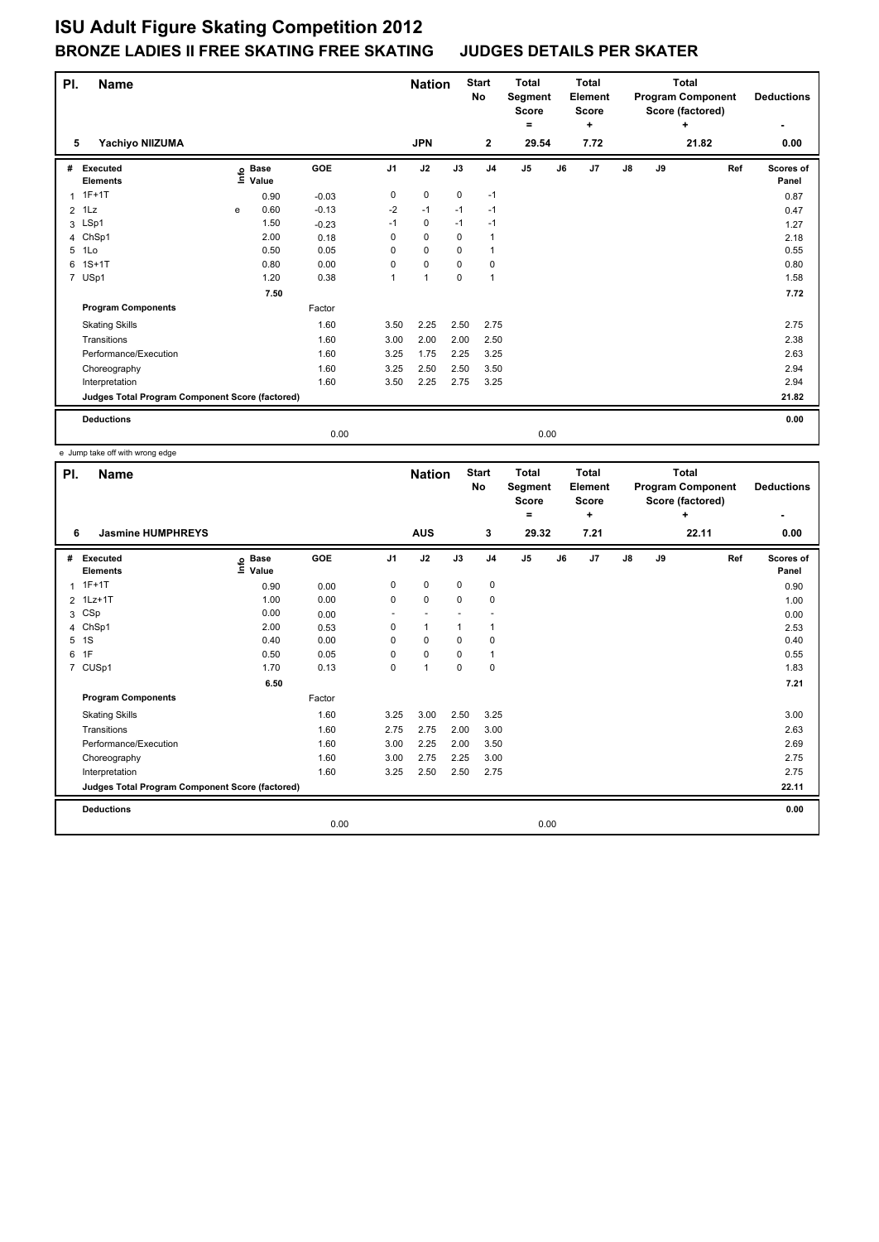| PI. | <b>Name</b>                                     |      |                      |         |                | <b>Nation</b> |             | <b>Start</b><br>No | <b>Total</b><br>Segment<br><b>Score</b><br>= |    | <b>Total</b><br>Element<br><b>Score</b><br>٠ |    |    | <b>Total</b><br><b>Program Component</b><br>Score (factored)<br>÷ |     | <b>Deductions</b>  |
|-----|-------------------------------------------------|------|----------------------|---------|----------------|---------------|-------------|--------------------|----------------------------------------------|----|----------------------------------------------|----|----|-------------------------------------------------------------------|-----|--------------------|
| 5   | Yachiyo NIIZUMA                                 |      |                      |         |                | <b>JPN</b>    |             | $\mathbf{2}$       | 29.54                                        |    | 7.72                                         |    |    | 21.82                                                             |     | 0.00               |
| #   | Executed<br><b>Elements</b>                     | ١nfo | <b>Base</b><br>Value | GOE     | J <sub>1</sub> | J2            | J3          | J <sub>4</sub>     | J <sub>5</sub>                               | J6 | J7                                           | J8 | J9 |                                                                   | Ref | Scores of<br>Panel |
| 1   | $1F+1T$                                         |      | 0.90                 | $-0.03$ | 0              | $\mathbf 0$   | $\mathbf 0$ | $-1$               |                                              |    |                                              |    |    |                                                                   |     | 0.87               |
|     | $2$ 1 Lz                                        | e    | 0.60                 | $-0.13$ | $-2$           | $-1$          | $-1$        | $-1$               |                                              |    |                                              |    |    |                                                                   |     | 0.47               |
|     | 3 LSp1                                          |      | 1.50                 | $-0.23$ | $-1$           | $\mathbf 0$   | $-1$        | $-1$               |                                              |    |                                              |    |    |                                                                   |     | 1.27               |
| 4   | ChSp1                                           |      | 2.00                 | 0.18    | 0              | $\Omega$      | $\mathbf 0$ | $\overline{1}$     |                                              |    |                                              |    |    |                                                                   |     | 2.18               |
| 5   | 1Lo                                             |      | 0.50                 | 0.05    | 0              | 0             | 0           | $\overline{1}$     |                                              |    |                                              |    |    |                                                                   |     | 0.55               |
| 6   | $1S+1T$                                         |      | 0.80                 | 0.00    | 0              | $\mathbf 0$   | 0           | 0                  |                                              |    |                                              |    |    |                                                                   |     | 0.80               |
|     | 7 USp1                                          |      | 1.20                 | 0.38    | 1              | $\mathbf{1}$  | 0           | $\overline{1}$     |                                              |    |                                              |    |    |                                                                   |     | 1.58               |
|     |                                                 |      | 7.50                 |         |                |               |             |                    |                                              |    |                                              |    |    |                                                                   |     | 7.72               |
|     | <b>Program Components</b>                       |      |                      | Factor  |                |               |             |                    |                                              |    |                                              |    |    |                                                                   |     |                    |
|     | <b>Skating Skills</b>                           |      |                      | 1.60    | 3.50           | 2.25          | 2.50        | 2.75               |                                              |    |                                              |    |    |                                                                   |     | 2.75               |
|     | Transitions                                     |      |                      | 1.60    | 3.00           | 2.00          | 2.00        | 2.50               |                                              |    |                                              |    |    |                                                                   |     | 2.38               |
|     | Performance/Execution                           |      |                      | 1.60    | 3.25           | 1.75          | 2.25        | 3.25               |                                              |    |                                              |    |    |                                                                   |     | 2.63               |
|     | Choreography                                    |      |                      | 1.60    | 3.25           | 2.50          | 2.50        | 3.50               |                                              |    |                                              |    |    |                                                                   |     | 2.94               |
|     | Interpretation                                  |      |                      | 1.60    | 3.50           | 2.25          | 2.75        | 3.25               |                                              |    |                                              |    |    |                                                                   |     | 2.94               |
|     | Judges Total Program Component Score (factored) |      |                      |         |                |               |             |                    |                                              |    |                                              |    |    |                                                                   |     | 21.82              |
|     | <b>Deductions</b>                               |      |                      |         |                |               |             |                    |                                              |    |                                              |    |    |                                                                   |     | 0.00               |
|     |                                                 |      |                      | 0.00    |                |               |             |                    | 0.00                                         |    |                                              |    |    |                                                                   |     |                    |

e Jump take off with wrong edge

| PI. | Name                                            |                              |        |                | <b>Nation</b>  |             | <b>Start</b><br>No | <b>Total</b><br>Segment<br><b>Score</b><br>= | <b>Total</b><br>Element<br><b>Score</b><br>٠ |    |    | <b>Total</b><br><b>Program Component</b><br>Score (factored)<br>٠ | <b>Deductions</b>         |
|-----|-------------------------------------------------|------------------------------|--------|----------------|----------------|-------------|--------------------|----------------------------------------------|----------------------------------------------|----|----|-------------------------------------------------------------------|---------------------------|
| 6   | <b>Jasmine HUMPHREYS</b>                        |                              |        |                | <b>AUS</b>     |             | 3                  | 29.32                                        | 7.21                                         |    |    | 22.11                                                             | 0.00                      |
| #   | Executed<br><b>Elements</b>                     | <b>Base</b><br>١nf٥<br>Value | GOE    | J <sub>1</sub> | J2             | J3          | J <sub>4</sub>     | J <sub>5</sub>                               | J6<br>J <sub>7</sub>                         | J8 | J9 | Ref                                                               | <b>Scores of</b><br>Panel |
| 1   | $1F+1T$                                         | 0.90                         | 0.00   | 0              | $\mathbf 0$    | $\mathbf 0$ | $\mathbf 0$        |                                              |                                              |    |    |                                                                   | 0.90                      |
|     | 2 1Lz+1T                                        | 1.00                         | 0.00   | 0              | $\mathbf 0$    | $\mathbf 0$ | $\mathbf 0$        |                                              |                                              |    |    |                                                                   | 1.00                      |
| 3   | CSp                                             | 0.00                         | 0.00   |                |                |             |                    |                                              |                                              |    |    |                                                                   | 0.00                      |
| 4   | ChSp1                                           | 2.00                         | 0.53   | 0              | $\mathbf{1}$   |             | $\mathbf{1}$       |                                              |                                              |    |    |                                                                   | 2.53                      |
| 5   | 1S                                              | 0.40                         | 0.00   | 0              | 0              | 0           | 0                  |                                              |                                              |    |    |                                                                   | 0.40                      |
| 6   | 1F                                              | 0.50                         | 0.05   | 0              | $\mathbf 0$    | 0           | $\mathbf{1}$       |                                              |                                              |    |    |                                                                   | 0.55                      |
|     | 7 CUSp1                                         | 1.70                         | 0.13   | 0              | $\overline{1}$ | 0           | $\mathbf 0$        |                                              |                                              |    |    |                                                                   | 1.83                      |
|     |                                                 | 6.50                         |        |                |                |             |                    |                                              |                                              |    |    |                                                                   | 7.21                      |
|     | <b>Program Components</b>                       |                              | Factor |                |                |             |                    |                                              |                                              |    |    |                                                                   |                           |
|     | <b>Skating Skills</b>                           |                              | 1.60   | 3.25           | 3.00           | 2.50        | 3.25               |                                              |                                              |    |    |                                                                   | 3.00                      |
|     | Transitions                                     |                              | 1.60   | 2.75           | 2.75           | 2.00        | 3.00               |                                              |                                              |    |    |                                                                   | 2.63                      |
|     | Performance/Execution                           |                              | 1.60   | 3.00           | 2.25           | 2.00        | 3.50               |                                              |                                              |    |    |                                                                   | 2.69                      |
|     | Choreography                                    |                              | 1.60   | 3.00           | 2.75           | 2.25        | 3.00               |                                              |                                              |    |    |                                                                   | 2.75                      |
|     | Interpretation                                  |                              | 1.60   | 3.25           | 2.50           | 2.50        | 2.75               |                                              |                                              |    |    |                                                                   | 2.75                      |
|     | Judges Total Program Component Score (factored) |                              |        |                |                |             |                    |                                              |                                              |    |    |                                                                   | 22.11                     |
|     | <b>Deductions</b>                               |                              |        |                |                |             |                    |                                              |                                              |    |    |                                                                   | 0.00                      |
|     |                                                 |                              | 0.00   |                |                |             |                    | 0.00                                         |                                              |    |    |                                                                   |                           |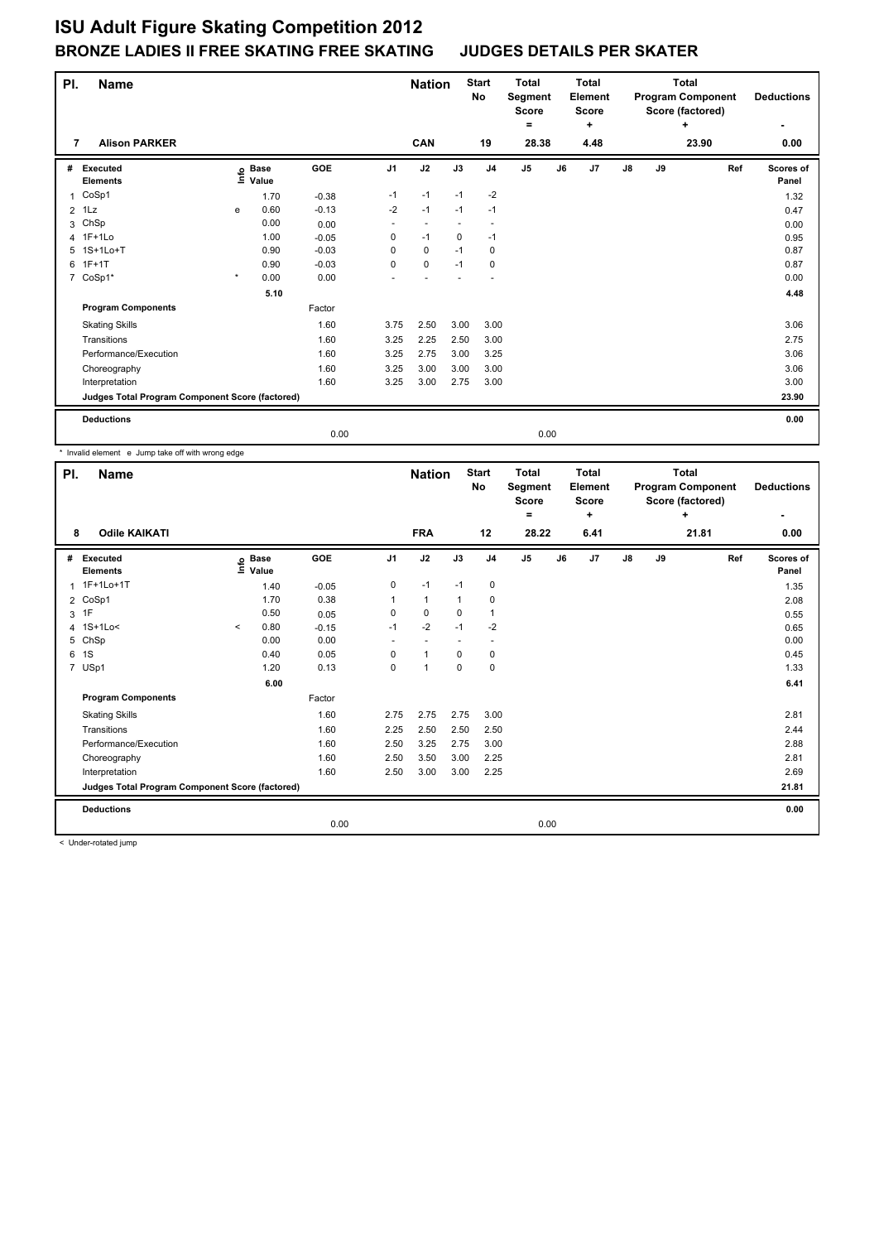| PI.            | <b>Name</b>                                     |         |                      |         |                | <b>Nation</b> |      | <b>Start</b><br>No | <b>Total</b><br>Segment<br><b>Score</b><br>$=$ | <b>Total</b><br>Element<br><b>Score</b><br>+ |               |    | <b>Total</b><br><b>Program Component</b><br>Score (factored)<br>٠ | <b>Deductions</b>  |
|----------------|-------------------------------------------------|---------|----------------------|---------|----------------|---------------|------|--------------------|------------------------------------------------|----------------------------------------------|---------------|----|-------------------------------------------------------------------|--------------------|
| 7              | <b>Alison PARKER</b>                            |         |                      |         |                | CAN           |      | 19                 | 28.38                                          | 4.48                                         |               |    | 23.90                                                             | 0.00               |
| #              | Executed<br><b>Elements</b>                     | e       | <b>Base</b><br>Value | GOE     | J <sub>1</sub> | J2            | J3   | J <sub>4</sub>     | J <sub>5</sub>                                 | J6<br>J7                                     | $\mathsf{J}8$ | J9 | Ref                                                               | Scores of<br>Panel |
| 1              | CoSp1                                           |         | 1.70                 | $-0.38$ | $-1$           | $-1$          | $-1$ | $-2$               |                                                |                                              |               |    |                                                                   | 1.32               |
| $\overline{2}$ | 1Lz                                             | e       | 0.60                 | $-0.13$ | $-2$           | $-1$          | $-1$ | $-1$               |                                                |                                              |               |    |                                                                   | 0.47               |
| 3              | ChSp                                            |         | 0.00                 | 0.00    |                |               |      |                    |                                                |                                              |               |    |                                                                   | 0.00               |
|                | 4 1F+1Lo                                        |         | 1.00                 | $-0.05$ | 0              | $-1$          | 0    | $-1$               |                                                |                                              |               |    |                                                                   | 0.95               |
|                | 5 1S+1Lo+T                                      |         | 0.90                 | $-0.03$ | 0              | 0             | $-1$ | 0                  |                                                |                                              |               |    |                                                                   | 0.87               |
| 6              | $1F+1T$                                         |         | 0.90                 | $-0.03$ | 0              | $\mathbf 0$   | $-1$ | 0                  |                                                |                                              |               |    |                                                                   | 0.87               |
| $\overline{7}$ | CoSp1*                                          | $\star$ | 0.00                 | 0.00    |                |               |      |                    |                                                |                                              |               |    |                                                                   | 0.00               |
|                |                                                 |         | 5.10                 |         |                |               |      |                    |                                                |                                              |               |    |                                                                   | 4.48               |
|                | <b>Program Components</b>                       |         |                      | Factor  |                |               |      |                    |                                                |                                              |               |    |                                                                   |                    |
|                | <b>Skating Skills</b>                           |         |                      | 1.60    | 3.75           | 2.50          | 3.00 | 3.00               |                                                |                                              |               |    |                                                                   | 3.06               |
|                | Transitions                                     |         |                      | 1.60    | 3.25           | 2.25          | 2.50 | 3.00               |                                                |                                              |               |    |                                                                   | 2.75               |
|                | Performance/Execution                           |         |                      | 1.60    | 3.25           | 2.75          | 3.00 | 3.25               |                                                |                                              |               |    |                                                                   | 3.06               |
|                | Choreography                                    |         |                      | 1.60    | 3.25           | 3.00          | 3.00 | 3.00               |                                                |                                              |               |    |                                                                   | 3.06               |
|                | Interpretation                                  |         |                      | 1.60    | 3.25           | 3.00          | 2.75 | 3.00               |                                                |                                              |               |    |                                                                   | 3.00               |
|                | Judges Total Program Component Score (factored) |         |                      |         |                |               |      |                    |                                                |                                              |               |    |                                                                   | 23.90              |
|                | <b>Deductions</b>                               |         |                      |         |                |               |      |                    |                                                |                                              |               |    |                                                                   | 0.00               |
|                |                                                 |         |                      | 0.00    |                |               |      |                    | 0.00                                           |                                              |               |    |                                                                   |                    |

\* Invalid element e Jump take off with wrong edge

| PI. | <b>Name</b>                                     |         |                      |            |                          | <b>Nation</b>            |              | <b>Start</b><br>No       | <b>Total</b><br>Segment<br><b>Score</b><br>٠ |    | <b>Total</b><br>Element<br><b>Score</b><br>÷ |               |    | <b>Total</b><br><b>Program Component</b><br>Score (factored)<br>$\ddot{}$ | <b>Deductions</b>  |
|-----|-------------------------------------------------|---------|----------------------|------------|--------------------------|--------------------------|--------------|--------------------------|----------------------------------------------|----|----------------------------------------------|---------------|----|---------------------------------------------------------------------------|--------------------|
| 8   | <b>Odile KAIKATI</b>                            |         |                      |            |                          | <b>FRA</b>               |              | 12                       | 28.22                                        |    | 6.41                                         |               |    | 21.81                                                                     | 0.00               |
| #   | Executed<br><b>Elements</b>                     | ۴ů      | <b>Base</b><br>Value | <b>GOE</b> | J <sub>1</sub>           | J2                       | J3           | J <sub>4</sub>           | J <sub>5</sub>                               | J6 | J7                                           | $\mathsf{J}8$ | J9 | Ref                                                                       | Scores of<br>Panel |
|     | 1 1F+1Lo+1T                                     |         | 1.40                 | $-0.05$    | 0                        | $-1$                     | $-1$         | $\mathbf 0$              |                                              |    |                                              |               |    |                                                                           | 1.35               |
|     | 2 CoSp1                                         |         | 1.70                 | 0.38       | 1                        | $\mathbf{1}$             | $\mathbf{1}$ | 0                        |                                              |    |                                              |               |    |                                                                           | 2.08               |
|     | 3 1F                                            |         | 0.50                 | 0.05       | 0                        | $\mathbf 0$              | 0            | $\overline{1}$           |                                              |    |                                              |               |    |                                                                           | 0.55               |
|     | 4 1S+1Lo<                                       | $\prec$ | 0.80                 | $-0.15$    | $-1$                     | $-2$                     | $-1$         | $-2$                     |                                              |    |                                              |               |    |                                                                           | 0.65               |
| 5   | ChSp                                            |         | 0.00                 | 0.00       | $\overline{\phantom{a}}$ | $\overline{\phantom{a}}$ |              | $\overline{\phantom{a}}$ |                                              |    |                                              |               |    |                                                                           | 0.00               |
| 6   | 1S                                              |         | 0.40                 | 0.05       | 0                        | $\mathbf{1}$             | $\mathbf 0$  | 0                        |                                              |    |                                              |               |    |                                                                           | 0.45               |
|     | 7 USp1                                          |         | 1.20                 | 0.13       | 0                        | $\blacktriangleleft$     | 0            | $\mathbf 0$              |                                              |    |                                              |               |    |                                                                           | 1.33               |
|     |                                                 |         | 6.00                 |            |                          |                          |              |                          |                                              |    |                                              |               |    |                                                                           | 6.41               |
|     | <b>Program Components</b>                       |         |                      | Factor     |                          |                          |              |                          |                                              |    |                                              |               |    |                                                                           |                    |
|     | <b>Skating Skills</b>                           |         |                      | 1.60       | 2.75                     | 2.75                     | 2.75         | 3.00                     |                                              |    |                                              |               |    |                                                                           | 2.81               |
|     | Transitions                                     |         |                      | 1.60       | 2.25                     | 2.50                     | 2.50         | 2.50                     |                                              |    |                                              |               |    |                                                                           | 2.44               |
|     | Performance/Execution                           |         |                      | 1.60       | 2.50                     | 3.25                     | 2.75         | 3.00                     |                                              |    |                                              |               |    |                                                                           | 2.88               |
|     | Choreography                                    |         |                      | 1.60       | 2.50                     | 3.50                     | 3.00         | 2.25                     |                                              |    |                                              |               |    |                                                                           | 2.81               |
|     | Interpretation                                  |         |                      | 1.60       | 2.50                     | 3.00                     | 3.00         | 2.25                     |                                              |    |                                              |               |    |                                                                           | 2.69               |
|     | Judges Total Program Component Score (factored) |         |                      |            |                          |                          |              |                          |                                              |    |                                              |               |    |                                                                           | 21.81              |
|     | <b>Deductions</b>                               |         |                      |            |                          |                          |              |                          |                                              |    |                                              |               |    |                                                                           | 0.00               |
|     |                                                 |         |                      | 0.00       |                          |                          |              |                          | 0.00                                         |    |                                              |               |    |                                                                           |                    |

< Under-rotated jump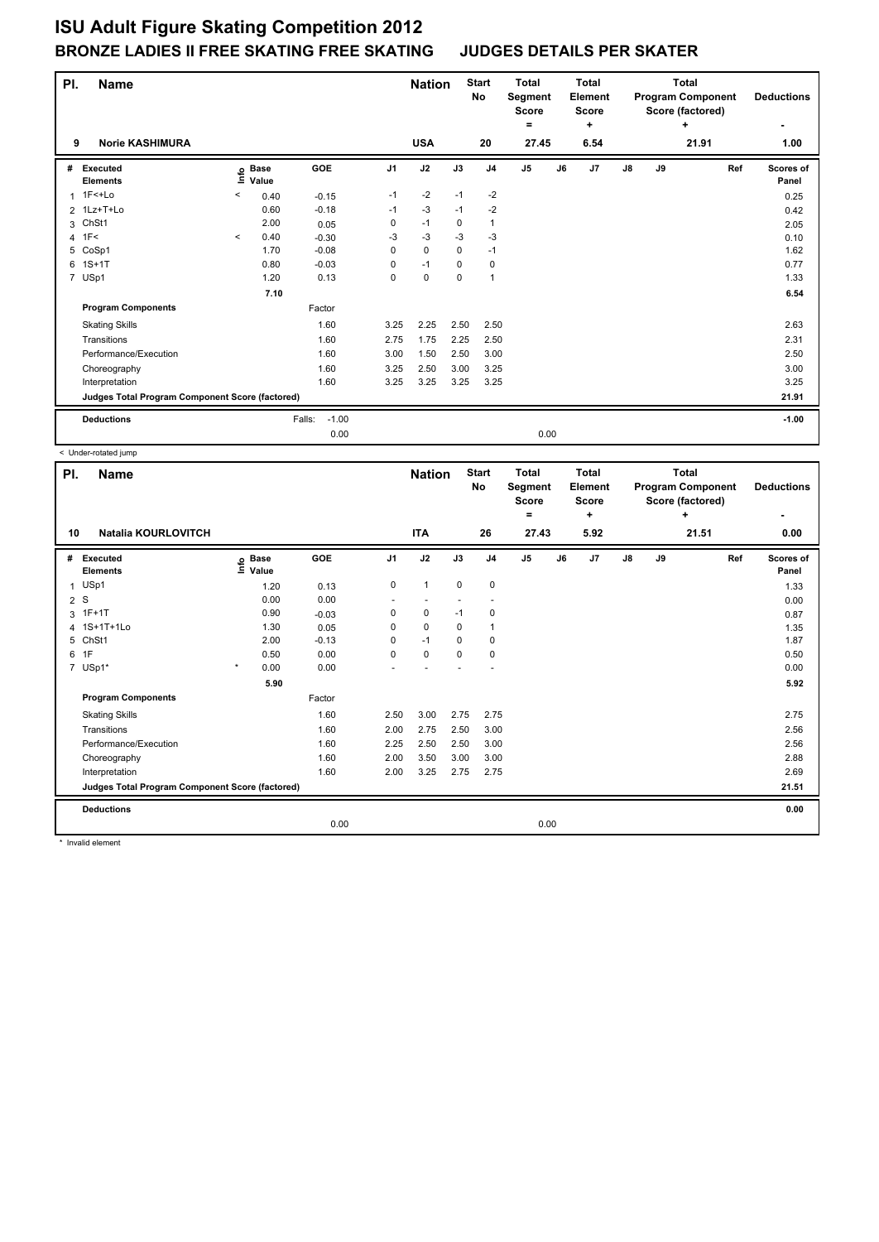| PI. | <b>Name</b>                                     |         |                                  |                   |                | <b>Nation</b> |             | <b>Start</b><br>No | Total<br>Segment<br><b>Score</b><br>۰ |    | Total<br>Element<br><b>Score</b><br>٠ |               |    | <b>Total</b><br><b>Program Component</b><br>Score (factored)<br>÷ | <b>Deductions</b>  |
|-----|-------------------------------------------------|---------|----------------------------------|-------------------|----------------|---------------|-------------|--------------------|---------------------------------------|----|---------------------------------------|---------------|----|-------------------------------------------------------------------|--------------------|
| 9   | <b>Norie KASHIMURA</b>                          |         |                                  |                   |                | <b>USA</b>    |             | 20                 | 27.45                                 |    | 6.54                                  |               |    | 21.91                                                             | ٠<br>1.00          |
|     |                                                 |         |                                  |                   |                |               |             |                    |                                       |    |                                       |               |    |                                                                   |                    |
| #   | Executed<br><b>Elements</b>                     |         | <b>Base</b><br>e Base<br>⊆ Value | GOE               | J <sub>1</sub> | J2            | J3          | J <sub>4</sub>     | J <sub>5</sub>                        | J6 | J <sub>7</sub>                        | $\mathsf{J}8$ | J9 | Ref                                                               | Scores of<br>Panel |
| 1   | 1F<+Lo                                          | $\,<\,$ | 0.40                             | $-0.15$           | $-1$           | $-2$          | $-1$        | $-2$               |                                       |    |                                       |               |    |                                                                   | 0.25               |
|     | 2 1Lz+T+Lo                                      |         | 0.60                             | $-0.18$           | $-1$           | $-3$          | $-1$        | $-2$               |                                       |    |                                       |               |    |                                                                   | 0.42               |
|     | 3 ChSt1                                         |         | 2.00                             | 0.05              | 0              | $-1$          | 0           | $\mathbf{1}$       |                                       |    |                                       |               |    |                                                                   | 2.05               |
|     | $4$ 1F<                                         | $\prec$ | 0.40                             | $-0.30$           | $-3$           | $-3$          | $-3$        | $-3$               |                                       |    |                                       |               |    |                                                                   | 0.10               |
|     | 5 CoSp1                                         |         | 1.70                             | $-0.08$           | 0              | $\mathbf 0$   | 0           | $-1$               |                                       |    |                                       |               |    |                                                                   | 1.62               |
|     | 6 1S+1T                                         |         | 0.80                             | $-0.03$           | 0              | $-1$          | $\Omega$    | $\mathbf 0$        |                                       |    |                                       |               |    |                                                                   | 0.77               |
|     | 7 USp1                                          |         | 1.20                             | 0.13              | 0              | $\mathbf 0$   | $\mathbf 0$ | $\overline{1}$     |                                       |    |                                       |               |    |                                                                   | 1.33               |
|     |                                                 |         | 7.10                             |                   |                |               |             |                    |                                       |    |                                       |               |    |                                                                   | 6.54               |
|     | <b>Program Components</b>                       |         |                                  | Factor            |                |               |             |                    |                                       |    |                                       |               |    |                                                                   |                    |
|     | <b>Skating Skills</b>                           |         |                                  | 1.60              | 3.25           | 2.25          | 2.50        | 2.50               |                                       |    |                                       |               |    |                                                                   | 2.63               |
|     | Transitions                                     |         |                                  | 1.60              | 2.75           | 1.75          | 2.25        | 2.50               |                                       |    |                                       |               |    |                                                                   | 2.31               |
|     | Performance/Execution                           |         |                                  | 1.60              | 3.00           | 1.50          | 2.50        | 3.00               |                                       |    |                                       |               |    |                                                                   | 2.50               |
|     | Choreography                                    |         |                                  | 1.60              | 3.25           | 2.50          | 3.00        | 3.25               |                                       |    |                                       |               |    |                                                                   | 3.00               |
|     | Interpretation                                  |         |                                  | 1.60              | 3.25           | 3.25          | 3.25        | 3.25               |                                       |    |                                       |               |    |                                                                   | 3.25               |
|     | Judges Total Program Component Score (factored) |         |                                  |                   |                |               |             |                    |                                       |    |                                       |               |    |                                                                   | 21.91              |
|     | <b>Deductions</b>                               |         |                                  | $-1.00$<br>Falls: |                |               |             |                    |                                       |    |                                       |               |    |                                                                   | $-1.00$            |
|     |                                                 |         |                                  | 0.00              |                |               |             |                    | 0.00                                  |    |                                       |               |    |                                                                   |                    |

< Under-rotated jump

| PI. | <b>Name</b>                                     |                            |         |                          | <b>Nation</b> |             | <b>Start</b><br>No | <b>Total</b><br>Segment<br><b>Score</b><br>۰ |    | <b>Total</b><br>Element<br>Score<br>÷ |    |    | <b>Total</b><br><b>Program Component</b><br>Score (factored)<br>÷ | <b>Deductions</b><br>۰ |
|-----|-------------------------------------------------|----------------------------|---------|--------------------------|---------------|-------------|--------------------|----------------------------------------------|----|---------------------------------------|----|----|-------------------------------------------------------------------|------------------------|
| 10  | <b>Natalia KOURLOVITCH</b>                      |                            |         |                          | <b>ITA</b>    |             | 26                 | 27.43                                        |    | 5.92                                  |    |    | 21.51                                                             | 0.00                   |
| #   | Executed<br><b>Elements</b>                     | e Base<br>E Value<br>Value | GOE     | J <sub>1</sub>           | J2            | J3          | J <sub>4</sub>     | J <sub>5</sub>                               | J6 | J7                                    | J8 | J9 | Ref                                                               | Scores of<br>Panel     |
| 1   | USp1                                            | 1.20                       | 0.13    | 0                        | $\mathbf{1}$  | $\mathbf 0$ | $\pmb{0}$          |                                              |    |                                       |    |    |                                                                   | 1.33                   |
| 2S  |                                                 | 0.00                       | 0.00    | $\overline{\phantom{a}}$ |               |             |                    |                                              |    |                                       |    |    |                                                                   | 0.00                   |
|     | 3 1F+1T                                         | 0.90                       | $-0.03$ | 0                        | 0             | $-1$        | 0                  |                                              |    |                                       |    |    |                                                                   | 0.87                   |
|     | 4 1S+1T+1Lo                                     | 1.30                       | 0.05    | 0                        | $\mathbf 0$   | 0           | $\overline{1}$     |                                              |    |                                       |    |    |                                                                   | 1.35                   |
|     | 5 ChSt1                                         | 2.00                       | $-0.13$ | 0                        | $-1$          | 0           | 0                  |                                              |    |                                       |    |    |                                                                   | 1.87                   |
| 6   | 1F                                              | 0.50                       | 0.00    | 0                        | $\mathbf 0$   | $\mathbf 0$ | $\mathbf 0$        |                                              |    |                                       |    |    |                                                                   | 0.50                   |
|     | 7 USp1*                                         | $\star$<br>0.00            | 0.00    |                          |               |             |                    |                                              |    |                                       |    |    |                                                                   | 0.00                   |
|     |                                                 | 5.90                       |         |                          |               |             |                    |                                              |    |                                       |    |    |                                                                   | 5.92                   |
|     | <b>Program Components</b>                       |                            | Factor  |                          |               |             |                    |                                              |    |                                       |    |    |                                                                   |                        |
|     | <b>Skating Skills</b>                           |                            | 1.60    | 2.50                     | 3.00          | 2.75        | 2.75               |                                              |    |                                       |    |    |                                                                   | 2.75                   |
|     | Transitions                                     |                            | 1.60    | 2.00                     | 2.75          | 2.50        | 3.00               |                                              |    |                                       |    |    |                                                                   | 2.56                   |
|     | Performance/Execution                           |                            | 1.60    | 2.25                     | 2.50          | 2.50        | 3.00               |                                              |    |                                       |    |    |                                                                   | 2.56                   |
|     | Choreography                                    |                            | 1.60    | 2.00                     | 3.50          | 3.00        | 3.00               |                                              |    |                                       |    |    |                                                                   | 2.88                   |
|     | Interpretation                                  |                            | 1.60    | 2.00                     | 3.25          | 2.75        | 2.75               |                                              |    |                                       |    |    |                                                                   | 2.69                   |
|     | Judges Total Program Component Score (factored) |                            |         |                          |               |             |                    |                                              |    |                                       |    |    |                                                                   | 21.51                  |
|     | <b>Deductions</b>                               |                            |         |                          |               |             |                    |                                              |    |                                       |    |    |                                                                   | 0.00                   |
|     |                                                 |                            | 0.00    |                          |               |             |                    | 0.00                                         |    |                                       |    |    |                                                                   |                        |

\* Invalid element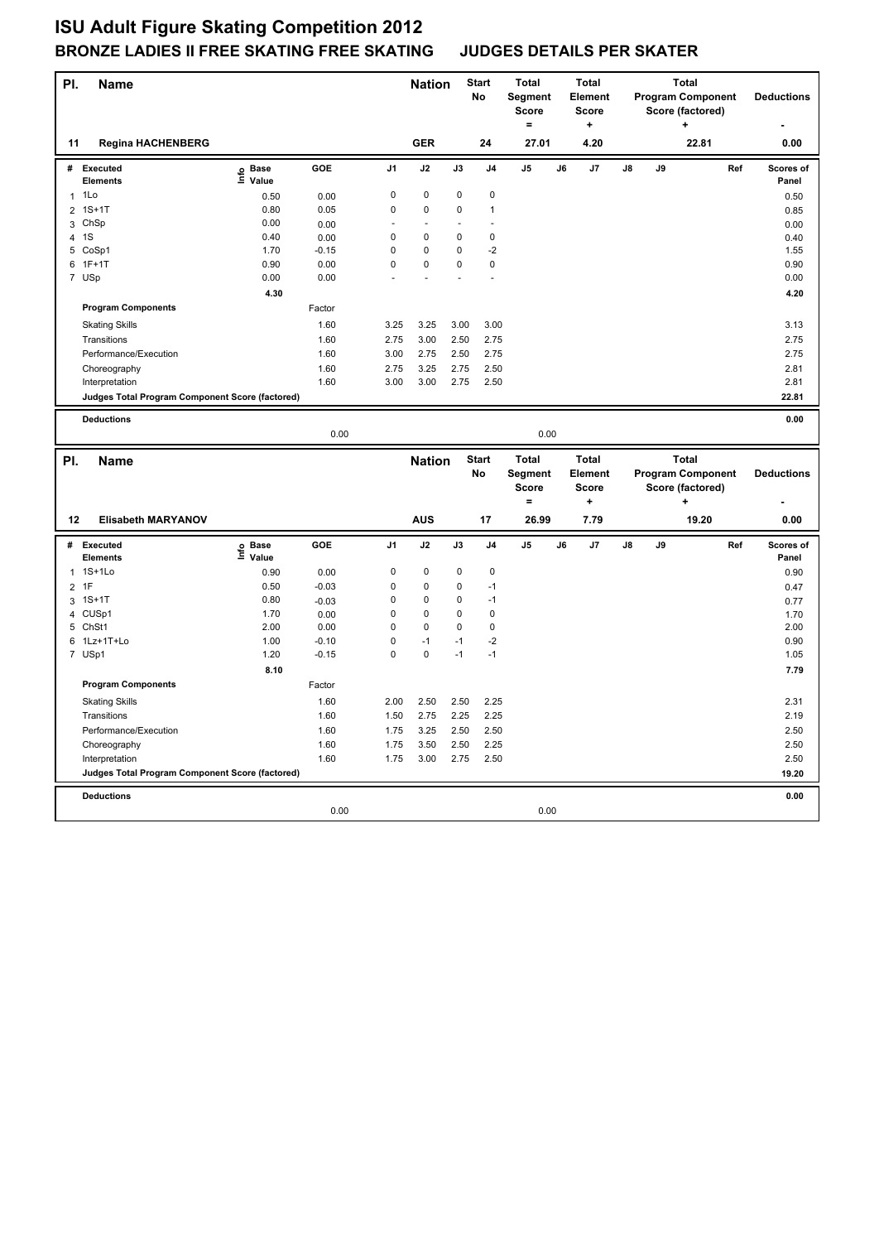| PI. | <b>Name</b>                                     |                   |         |                | <b>Nation</b>        |             | <b>Start</b><br>No | <b>Total</b><br>Segment<br><b>Score</b><br>۰ |    | <b>Total</b><br><b>Element</b><br><b>Score</b><br>÷ |               |    | <b>Total</b><br><b>Program Component</b><br>Score (factored) |     | <b>Deductions</b>  |
|-----|-------------------------------------------------|-------------------|---------|----------------|----------------------|-------------|--------------------|----------------------------------------------|----|-----------------------------------------------------|---------------|----|--------------------------------------------------------------|-----|--------------------|
| 11  | <b>Regina HACHENBERG</b>                        |                   |         |                | <b>GER</b>           |             | 24                 | 27.01                                        |    | 4.20                                                |               |    | 22.81                                                        |     | 0.00               |
|     | # Executed<br><b>Elements</b>                   | e Base<br>⊑ Value | GOE     | J <sub>1</sub> | J2                   | J3          | J <sub>4</sub>     | J <sub>5</sub>                               | J6 | J7                                                  | J8            | J9 |                                                              | Ref | Scores of<br>Panel |
| 1   | 1Lo                                             | 0.50              | 0.00    | 0              | 0                    | 0           | 0                  |                                              |    |                                                     |               |    |                                                              |     | 0.50               |
|     | 2 1S+1T                                         | 0.80              | 0.05    | $\mathbf 0$    | $\mathbf 0$          | 0           | 1                  |                                              |    |                                                     |               |    |                                                              |     | 0.85               |
| 3   | ChSp                                            | 0.00              | 0.00    | ÷.             | $\ddot{\phantom{1}}$ |             | ÷,                 |                                              |    |                                                     |               |    |                                                              |     | 0.00               |
| 4   | 1S                                              | 0.40              | 0.00    | 0              | 0                    | 0           | $\pmb{0}$          |                                              |    |                                                     |               |    |                                                              |     | 0.40               |
|     | 5 CoSp1                                         | 1.70              | $-0.15$ | $\mathbf 0$    | 0                    | 0           | $-2$               |                                              |    |                                                     |               |    |                                                              |     | 1.55               |
| 6   | $1F+1T$                                         | 0.90              | 0.00    | $\mathsf 0$    | 0                    | 0           | $\pmb{0}$          |                                              |    |                                                     |               |    |                                                              |     | 0.90               |
|     | 7 USp                                           | 0.00              | 0.00    |                |                      |             |                    |                                              |    |                                                     |               |    |                                                              |     | 0.00               |
|     |                                                 | 4.30              |         |                |                      |             |                    |                                              |    |                                                     |               |    |                                                              |     | 4.20               |
|     | <b>Program Components</b>                       |                   | Factor  |                |                      |             |                    |                                              |    |                                                     |               |    |                                                              |     |                    |
|     | <b>Skating Skills</b>                           |                   | 1.60    | 3.25           | 3.25                 | 3.00        | 3.00               |                                              |    |                                                     |               |    |                                                              |     | 3.13               |
|     | Transitions                                     |                   | 1.60    | 2.75           | 3.00                 | 2.50        | 2.75               |                                              |    |                                                     |               |    |                                                              |     | 2.75               |
|     | Performance/Execution                           |                   | 1.60    | 3.00           | 2.75                 | 2.50        | 2.75               |                                              |    |                                                     |               |    |                                                              |     | 2.75               |
|     | Choreography                                    |                   | 1.60    | 2.75           | 3.25                 | 2.75        | 2.50               |                                              |    |                                                     |               |    |                                                              |     | 2.81               |
|     | Interpretation                                  |                   | 1.60    | 3.00           | 3.00                 | 2.75        | 2.50               |                                              |    |                                                     |               |    |                                                              |     | 2.81               |
|     | Judges Total Program Component Score (factored) |                   |         |                |                      |             |                    |                                              |    |                                                     |               |    |                                                              |     | 22.81              |
|     |                                                 |                   |         |                |                      |             |                    |                                              |    |                                                     |               |    |                                                              |     |                    |
|     | <b>Deductions</b>                               |                   |         |                |                      |             |                    |                                              |    |                                                     |               |    |                                                              |     | 0.00               |
|     |                                                 |                   | 0.00    |                |                      |             |                    | 0.00                                         |    |                                                     |               |    |                                                              |     |                    |
|     |                                                 |                   |         |                |                      |             | <b>Start</b>       | <b>Total</b>                                 |    | <b>Total</b>                                        |               |    | <b>Total</b>                                                 |     |                    |
|     |                                                 |                   |         |                |                      |             |                    |                                              |    |                                                     |               |    |                                                              |     |                    |
| PI. | <b>Name</b>                                     |                   |         |                | <b>Nation</b>        |             | <b>No</b>          | Segment                                      |    | <b>Element</b>                                      |               |    | <b>Program Component</b>                                     |     | <b>Deductions</b>  |
|     |                                                 |                   |         |                |                      |             |                    | <b>Score</b>                                 |    | <b>Score</b>                                        |               |    | Score (factored)                                             |     |                    |
|     |                                                 |                   |         |                |                      |             |                    | $=$                                          |    | $\ddot{}$                                           |               |    | ٠                                                            |     |                    |
| 12  | <b>Elisabeth MARYANOV</b>                       |                   |         |                | <b>AUS</b>           |             | 17                 | 26.99                                        |    | 7.79                                                |               |    | 19.20                                                        |     | 0.00               |
| #   | <b>Executed</b><br><b>Elements</b>              | e Base<br>⊑ Value | GOE     | J <sub>1</sub> | J2                   | J3          | J <sub>4</sub>     | J <sub>5</sub>                               | J6 | J7                                                  | $\mathsf{J}8$ | J9 |                                                              | Ref | Scores of<br>Panel |
|     | 1 1S+1Lo                                        | 0.90              | 0.00    | 0              | 0                    | 0           | $\mathbf 0$        |                                              |    |                                                     |               |    |                                                              |     | 0.90               |
|     | 2 1F                                            | 0.50              | $-0.03$ | $\mathbf 0$    | $\mathbf 0$          | $\mathbf 0$ | $-1$               |                                              |    |                                                     |               |    |                                                              |     | 0.47               |
|     | 3 1S+1T                                         | 0.80              | $-0.03$ | $\mathsf 0$    | 0                    | 0           | $-1$               |                                              |    |                                                     |               |    |                                                              |     | 0.77               |
|     | 4 CUSp1                                         | 1.70              | 0.00    | $\mathsf 0$    | $\pmb{0}$            | 0           | $\pmb{0}$          |                                              |    |                                                     |               |    |                                                              |     | 1.70               |
|     | 5 ChSt1                                         | 2.00              | 0.00    | $\mathbf 0$    | 0                    | 0           | $\mathbf 0$        |                                              |    |                                                     |               |    |                                                              |     | 2.00               |
|     | 6 1Lz+1T+Lo                                     | 1.00              | $-0.10$ | $\mathsf 0$    | $-1$                 | $-1$        | $-2$               |                                              |    |                                                     |               |    |                                                              |     | 0.90               |
|     | 7 USp1                                          | 1.20              | $-0.15$ | $\mathbf 0$    | $\mathbf 0$          | $-1$        | $-1$               |                                              |    |                                                     |               |    |                                                              |     | 1.05               |
|     |                                                 | 8.10              |         |                |                      |             |                    |                                              |    |                                                     |               |    |                                                              |     | 7.79               |
|     | <b>Program Components</b>                       |                   | Factor  |                |                      |             |                    |                                              |    |                                                     |               |    |                                                              |     |                    |
|     | <b>Skating Skills</b>                           |                   | 1.60    | 2.00           | 2.50                 | 2.50        | 2.25               |                                              |    |                                                     |               |    |                                                              |     | 2.31               |
|     | Transitions                                     |                   | 1.60    | 1.50           | 2.75                 | 2.25        | 2.25               |                                              |    |                                                     |               |    |                                                              |     | 2.19               |
|     | Performance/Execution                           |                   | 1.60    | 1.75           | 3.25                 | 2.50        | 2.50               |                                              |    |                                                     |               |    |                                                              |     | 2.50               |
|     | Choreography                                    |                   | 1.60    | 1.75           | 3.50                 | 2.50        | 2.25               |                                              |    |                                                     |               |    |                                                              |     | 2.50               |
|     | Interpretation                                  |                   | 1.60    | 1.75           | 3.00                 | 2.75        | 2.50               |                                              |    |                                                     |               |    |                                                              |     | 2.50               |
|     | Judges Total Program Component Score (factored) |                   |         |                |                      |             |                    |                                              |    |                                                     |               |    |                                                              |     | 19.20              |
|     |                                                 |                   |         |                |                      |             |                    |                                              |    |                                                     |               |    |                                                              |     |                    |
|     | <b>Deductions</b>                               |                   |         |                |                      |             |                    |                                              |    |                                                     |               |    |                                                              |     | 0.00               |
|     |                                                 |                   | 0.00    |                |                      |             |                    | 0.00                                         |    |                                                     |               |    |                                                              |     |                    |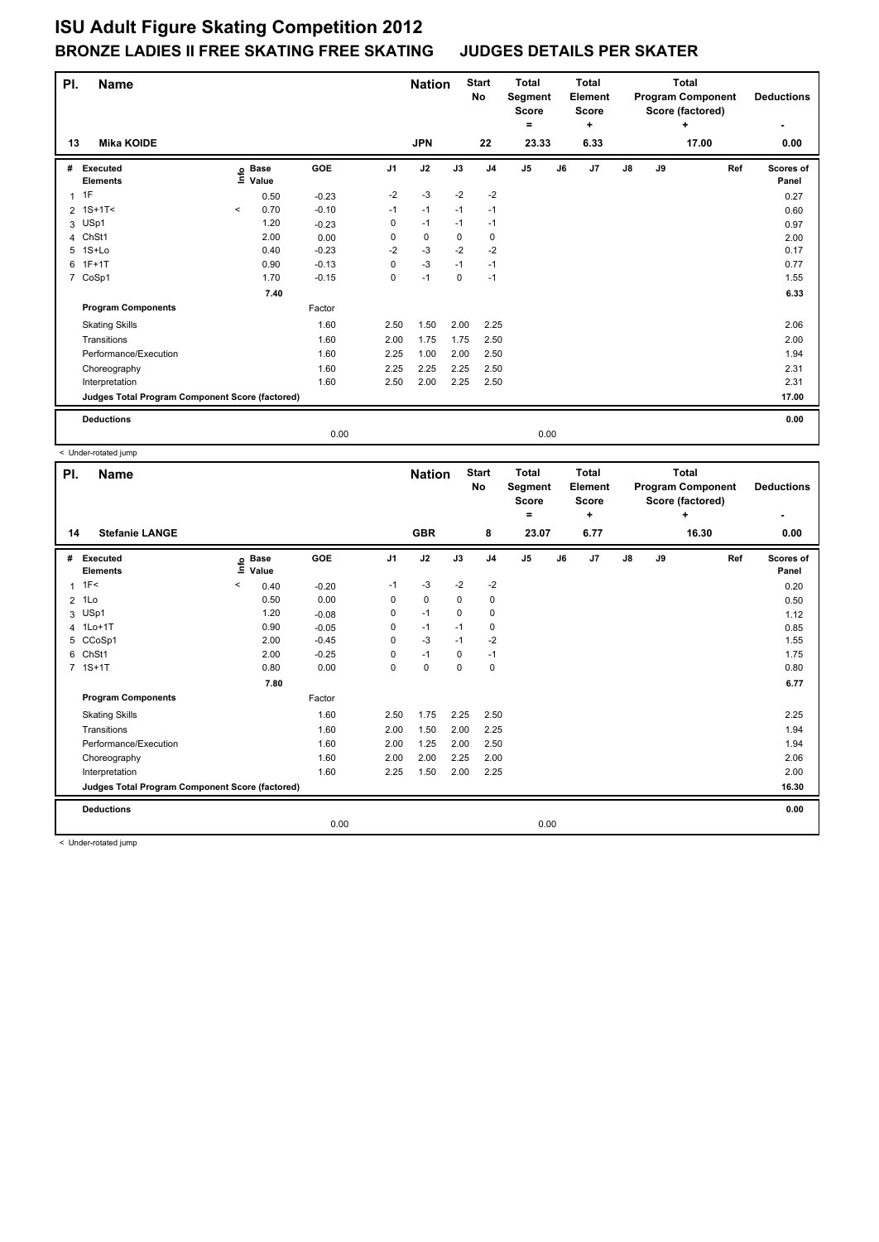| PI. | <b>Name</b>                                     |         |                      |         |                | <b>Nation</b> |      | <b>Start</b><br>No | <b>Total</b><br>Segment<br><b>Score</b><br>= |    | <b>Total</b><br>Element<br><b>Score</b><br>٠ |    |    | <b>Total</b><br><b>Program Component</b><br>Score (factored)<br>÷ |     | <b>Deductions</b>  |
|-----|-------------------------------------------------|---------|----------------------|---------|----------------|---------------|------|--------------------|----------------------------------------------|----|----------------------------------------------|----|----|-------------------------------------------------------------------|-----|--------------------|
| 13  | <b>Mika KOIDE</b>                               |         |                      |         |                | <b>JPN</b>    |      | 22                 | 23.33                                        |    | 6.33                                         |    |    | 17.00                                                             |     | 0.00               |
| #   | Executed<br><b>Elements</b>                     | ۴       | <b>Base</b><br>Value | GOE     | J <sub>1</sub> | J2            | J3   | J <sub>4</sub>     | J <sub>5</sub>                               | J6 | J7                                           | J8 | J9 |                                                                   | Ref | Scores of<br>Panel |
|     | $1$ 1F                                          |         | 0.50                 | $-0.23$ | $-2$           | $-3$          | $-2$ | $-2$               |                                              |    |                                              |    |    |                                                                   |     | 0.27               |
|     | $2 \t1S+1T2$                                    | $\prec$ | 0.70                 | $-0.10$ | $-1$           | $-1$          | $-1$ | $-1$               |                                              |    |                                              |    |    |                                                                   |     | 0.60               |
|     | 3 USp1                                          |         | 1.20                 | $-0.23$ | 0              | $-1$          | $-1$ | $-1$               |                                              |    |                                              |    |    |                                                                   |     | 0.97               |
| 4   | ChSt1                                           |         | 2.00                 | 0.00    | 0              | 0             | 0    | 0                  |                                              |    |                                              |    |    |                                                                   |     | 2.00               |
| 5   | 1S+Lo                                           |         | 0.40                 | $-0.23$ | $-2$           | $-3$          | $-2$ | $-2$               |                                              |    |                                              |    |    |                                                                   |     | 0.17               |
| 6   | $1F+1T$                                         |         | 0.90                 | $-0.13$ | 0              | $-3$          | $-1$ | $-1$               |                                              |    |                                              |    |    |                                                                   |     | 0.77               |
|     | 7 CoSp1                                         |         | 1.70                 | $-0.15$ | 0              | $-1$          | 0    | $-1$               |                                              |    |                                              |    |    |                                                                   |     | 1.55               |
|     |                                                 |         | 7.40                 |         |                |               |      |                    |                                              |    |                                              |    |    |                                                                   |     | 6.33               |
|     | <b>Program Components</b>                       |         |                      | Factor  |                |               |      |                    |                                              |    |                                              |    |    |                                                                   |     |                    |
|     | <b>Skating Skills</b>                           |         |                      | 1.60    | 2.50           | 1.50          | 2.00 | 2.25               |                                              |    |                                              |    |    |                                                                   |     | 2.06               |
|     | Transitions                                     |         |                      | 1.60    | 2.00           | 1.75          | 1.75 | 2.50               |                                              |    |                                              |    |    |                                                                   |     | 2.00               |
|     | Performance/Execution                           |         |                      | 1.60    | 2.25           | 1.00          | 2.00 | 2.50               |                                              |    |                                              |    |    |                                                                   |     | 1.94               |
|     | Choreography                                    |         |                      | 1.60    | 2.25           | 2.25          | 2.25 | 2.50               |                                              |    |                                              |    |    |                                                                   |     | 2.31               |
|     | Interpretation                                  |         |                      | 1.60    | 2.50           | 2.00          | 2.25 | 2.50               |                                              |    |                                              |    |    |                                                                   |     | 2.31               |
|     | Judges Total Program Component Score (factored) |         |                      |         |                |               |      |                    |                                              |    |                                              |    |    |                                                                   |     | 17.00              |
|     | <b>Deductions</b>                               |         |                      |         |                |               |      |                    |                                              |    |                                              |    |    |                                                                   |     | 0.00               |
|     |                                                 |         |                      | 0.00    |                |               |      |                    | 0.00                                         |    |                                              |    |    |                                                                   |     |                    |

< Under-rotated jump

| PI.            | <b>Name</b>                                     |                              |         |                | <b>Nation</b> |             | <b>Start</b><br>No | <b>Total</b><br>Segment<br><b>Score</b><br>۰ | <b>Total</b><br>Element<br><b>Score</b><br>٠ |               |    | <b>Total</b><br><b>Program Component</b><br>Score (factored)<br>٠ | <b>Deductions</b><br>۰ |
|----------------|-------------------------------------------------|------------------------------|---------|----------------|---------------|-------------|--------------------|----------------------------------------------|----------------------------------------------|---------------|----|-------------------------------------------------------------------|------------------------|
| 14             | <b>Stefanie LANGE</b>                           |                              |         |                | <b>GBR</b>    |             | 8                  | 23.07                                        | 6.77                                         |               |    | 16.30                                                             | 0.00                   |
| #              | Executed<br><b>Elements</b>                     | <b>Base</b><br>١nfo<br>Value | GOE     | J <sub>1</sub> | J2            | J3          | J <sub>4</sub>     | J5                                           | J6<br>J7                                     | $\mathsf{J}8$ | J9 | Ref                                                               | Scores of<br>Panel     |
| 1              | 1F<                                             | $\,<\,$<br>0.40              | $-0.20$ | $-1$           | $-3$          | $-2$        | $-2$               |                                              |                                              |               |    |                                                                   | 0.20                   |
| $\overline{2}$ | 1Lo                                             | 0.50                         | 0.00    | 0              | $\mathbf 0$   | 0           | 0                  |                                              |                                              |               |    |                                                                   | 0.50                   |
|                | 3 USp1                                          | 1.20                         | $-0.08$ | 0              | $-1$          | $\mathbf 0$ | 0                  |                                              |                                              |               |    |                                                                   | 1.12                   |
|                | 4 1Lo+1T                                        | 0.90                         | $-0.05$ | 0              | $-1$          | $-1$        | 0                  |                                              |                                              |               |    |                                                                   | 0.85                   |
|                | 5 CCoSp1                                        | 2.00                         | $-0.45$ | 0              | $-3$          | $-1$        | $-2$               |                                              |                                              |               |    |                                                                   | 1.55                   |
|                | 6 ChSt1                                         | 2.00                         | $-0.25$ | 0              | $-1$          | $\Omega$    | $-1$               |                                              |                                              |               |    |                                                                   | 1.75                   |
|                | 7 1S+1T                                         | 0.80                         | 0.00    | 0              | $\mathbf 0$   | 0           | $\mathbf 0$        |                                              |                                              |               |    |                                                                   | 0.80                   |
|                |                                                 | 7.80                         |         |                |               |             |                    |                                              |                                              |               |    |                                                                   | 6.77                   |
|                | <b>Program Components</b>                       |                              | Factor  |                |               |             |                    |                                              |                                              |               |    |                                                                   |                        |
|                | <b>Skating Skills</b>                           |                              | 1.60    | 2.50           | 1.75          | 2.25        | 2.50               |                                              |                                              |               |    |                                                                   | 2.25                   |
|                | Transitions                                     |                              | 1.60    | 2.00           | 1.50          | 2.00        | 2.25               |                                              |                                              |               |    |                                                                   | 1.94                   |
|                | Performance/Execution                           |                              | 1.60    | 2.00           | 1.25          | 2.00        | 2.50               |                                              |                                              |               |    |                                                                   | 1.94                   |
|                | Choreography                                    |                              | 1.60    | 2.00           | 2.00          | 2.25        | 2.00               |                                              |                                              |               |    |                                                                   | 2.06                   |
|                | Interpretation                                  |                              | 1.60    | 2.25           | 1.50          | 2.00        | 2.25               |                                              |                                              |               |    |                                                                   | 2.00                   |
|                | Judges Total Program Component Score (factored) |                              |         |                |               |             |                    |                                              |                                              |               |    |                                                                   | 16.30                  |
|                | <b>Deductions</b>                               |                              |         |                |               |             |                    |                                              |                                              |               |    |                                                                   | 0.00                   |
|                |                                                 |                              | 0.00    |                |               |             |                    | 0.00                                         |                                              |               |    |                                                                   |                        |

< Under-rotated jump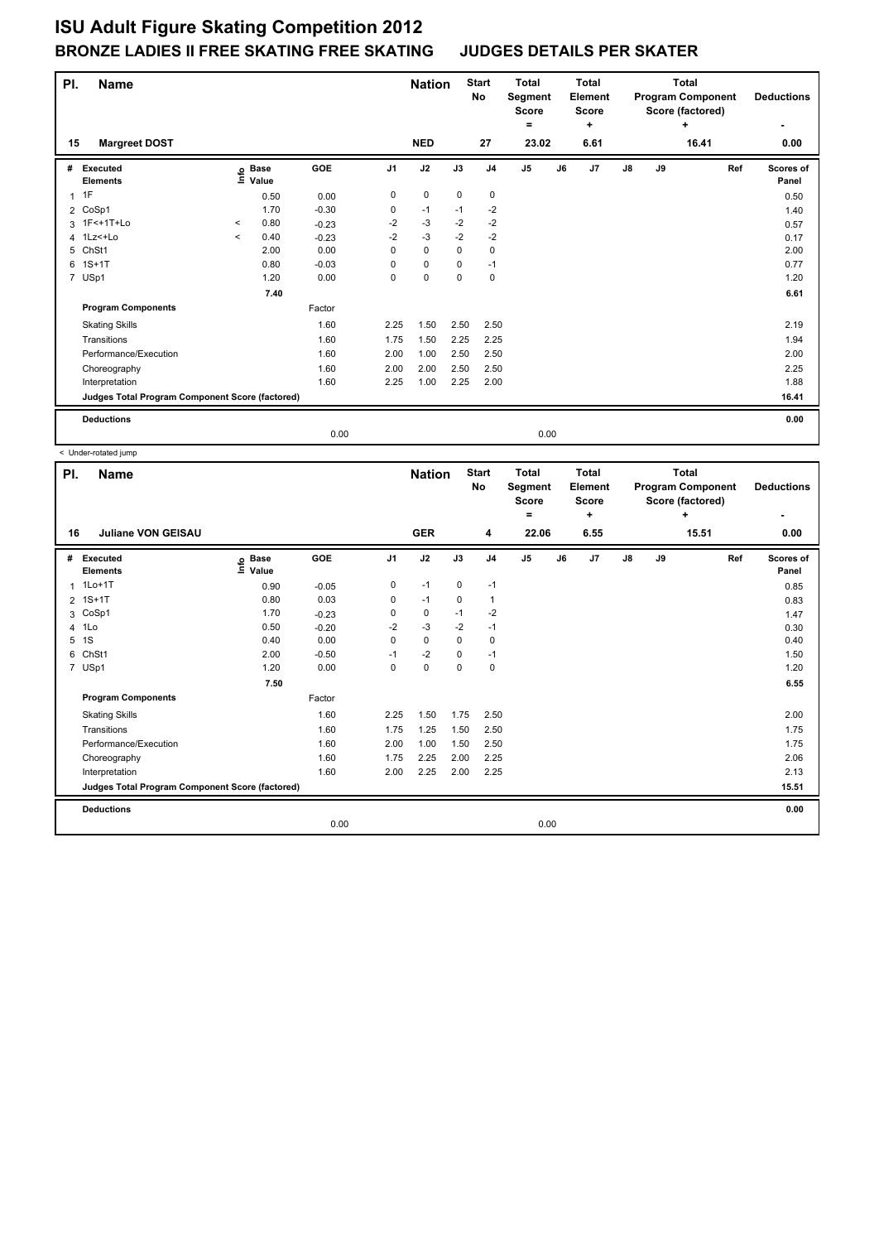| PI.          | <b>Name</b>                                     |         |                      |         |                | <b>Nation</b> |             | <b>Start</b><br>No | <b>Total</b><br>Segment<br><b>Score</b><br>۰ |    | <b>Total</b><br>Element<br><b>Score</b><br>٠ |               |    | <b>Total</b><br><b>Program Component</b><br>Score (factored)<br>÷ |     | <b>Deductions</b>  |
|--------------|-------------------------------------------------|---------|----------------------|---------|----------------|---------------|-------------|--------------------|----------------------------------------------|----|----------------------------------------------|---------------|----|-------------------------------------------------------------------|-----|--------------------|
| 15           | <b>Margreet DOST</b>                            |         |                      |         |                | <b>NED</b>    |             | 27                 | 23.02                                        |    | 6.61                                         |               |    | 16.41                                                             |     | 0.00               |
| #            | Executed<br><b>Elements</b>                     | e       | <b>Base</b><br>Value | GOE     | J <sub>1</sub> | J2            | J3          | J <sub>4</sub>     | J <sub>5</sub>                               | J6 | J7                                           | $\mathsf{J}8$ | J9 |                                                                   | Ref | Scores of<br>Panel |
| $\mathbf{1}$ | 1F                                              |         | 0.50                 | 0.00    | 0              | $\mathbf 0$   | $\mathbf 0$ | $\mathbf 0$        |                                              |    |                                              |               |    |                                                                   |     | 0.50               |
|              | 2 CoSp1                                         |         | 1.70                 | $-0.30$ | 0              | $-1$          | $-1$        | $-2$               |                                              |    |                                              |               |    |                                                                   |     | 1.40               |
|              | 3 1F<+1T+Lo                                     | $\prec$ | 0.80                 | $-0.23$ | $-2$           | $-3$          | $-2$        | $-2$               |                                              |    |                                              |               |    |                                                                   |     | 0.57               |
|              | 4 1Lz <+Lo                                      | $\prec$ | 0.40                 | $-0.23$ | $-2$           | $-3$          | $-2$        | $-2$               |                                              |    |                                              |               |    |                                                                   |     | 0.17               |
| 5            | ChSt1                                           |         | 2.00                 | 0.00    | 0              | 0             | 0           | 0                  |                                              |    |                                              |               |    |                                                                   |     | 2.00               |
| 6            | $1S+1T$                                         |         | 0.80                 | $-0.03$ | 0              | $\mathbf 0$   | 0           | $-1$               |                                              |    |                                              |               |    |                                                                   |     | 0.77               |
|              | 7 USp1                                          |         | 1.20                 | 0.00    | 0              | $\mathbf 0$   | $\mathbf 0$ | $\mathbf 0$        |                                              |    |                                              |               |    |                                                                   |     | 1.20               |
|              |                                                 |         | 7.40                 |         |                |               |             |                    |                                              |    |                                              |               |    |                                                                   |     | 6.61               |
|              | <b>Program Components</b>                       |         |                      | Factor  |                |               |             |                    |                                              |    |                                              |               |    |                                                                   |     |                    |
|              | <b>Skating Skills</b>                           |         |                      | 1.60    | 2.25           | 1.50          | 2.50        | 2.50               |                                              |    |                                              |               |    |                                                                   |     | 2.19               |
|              | Transitions                                     |         |                      | 1.60    | 1.75           | 1.50          | 2.25        | 2.25               |                                              |    |                                              |               |    |                                                                   |     | 1.94               |
|              | Performance/Execution                           |         |                      | 1.60    | 2.00           | 1.00          | 2.50        | 2.50               |                                              |    |                                              |               |    |                                                                   |     | 2.00               |
|              | Choreography                                    |         |                      | 1.60    | 2.00           | 2.00          | 2.50        | 2.50               |                                              |    |                                              |               |    |                                                                   |     | 2.25               |
|              | Interpretation                                  |         |                      | 1.60    | 2.25           | 1.00          | 2.25        | 2.00               |                                              |    |                                              |               |    |                                                                   |     | 1.88               |
|              | Judges Total Program Component Score (factored) |         |                      |         |                |               |             |                    |                                              |    |                                              |               |    |                                                                   |     | 16.41              |
|              | <b>Deductions</b>                               |         |                      |         |                |               |             |                    |                                              |    |                                              |               |    |                                                                   |     | 0.00               |
|              |                                                 |         |                      | 0.00    |                |               |             |                    | 0.00                                         |    |                                              |               |    |                                                                   |     |                    |
|              | < Under-rotated jump                            |         |                      |         |                |               |             |                    |                                              |    |                                              |               |    |                                                                   |     |                    |

**Name Deductions - Nation** Start Total **Segment Score = Total Element Score + Total Program Component Score (factored) + PI.** Name **Start PI.** Nation Start **No # Executed Elements Base Value GOE J1 J2 J3 J4 J5 J6 J7 J8 J9 Scores of Panel** 1 0.90 -0.05 0 -1 0 -1 **Ref**  1Lo+1T 0.85 **Info 16 Juliane VON GEISAU GER 4 22.06 6.55 15.51 0.00** 2 1S+1T 0.80 0.03 0 -1 0 1 0.83 3 CoSp1 1.70 -0.23 0 0 -1 -2 1.47 4 1Lo 0.50 -0.20 -2 -3 -2 -1 0.30 5 1S 0.40 0.00 0 0 0 0 0.40 6 ChSt1 2.00 -0.50 -1 -2 0 -1 1.50 7 USp1 1.20 0.00 0 0 0 0 1.20  **7.50 6.55 Program Components**  Skating Skills **2.25** 2.50 **2.25** 2.50 Factor 1.60 2.00 Transitions 1.60 1.75 1.25 1.50 2.50 1.75 Performance/Execution 1.60 2.00 1.00 1.50 2.50 1.75 Choreography 1.60 1.60 1.75 2.25 2.00 2.25 2.00 2.25 2.06 2.06 Interpretation 1.60 1.60 2.00 2.25 2.00 2.25 2.00 2.25 2.13 **Deductions 0.00 Judges Total Program Component Score (factored) 15.51** 0.00 0.00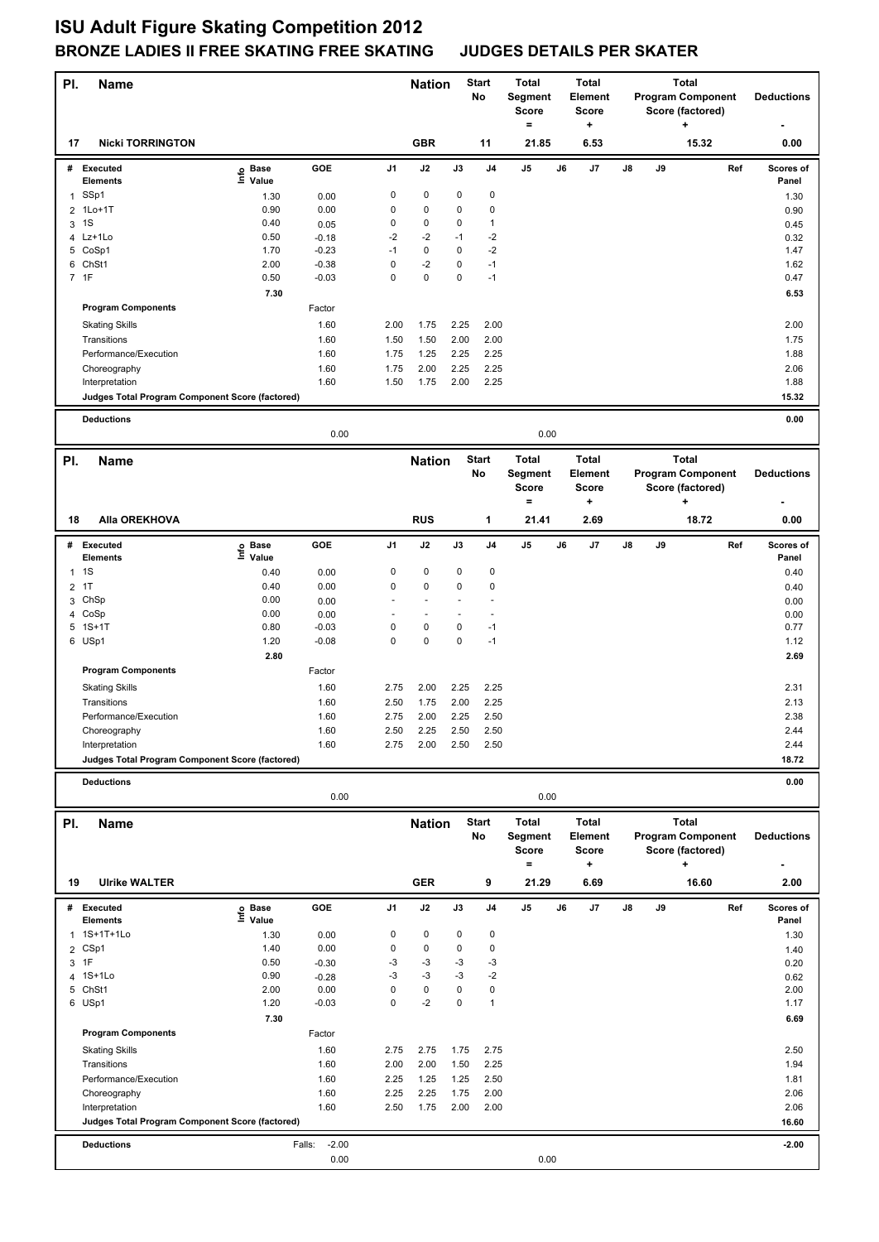| PI.          | <b>Name</b>                                     |                   |                    |                     | <b>Nation</b>            |              | <b>Start</b><br>No | <b>Total</b><br>Segment  |    | <b>Total</b><br><b>Element</b> |    |    | <b>Total</b><br><b>Program Component</b> |     | <b>Deductions</b>  |
|--------------|-------------------------------------------------|-------------------|--------------------|---------------------|--------------------------|--------------|--------------------|--------------------------|----|--------------------------------|----|----|------------------------------------------|-----|--------------------|
|              |                                                 |                   |                    |                     |                          |              |                    | <b>Score</b><br>$\equiv$ |    | <b>Score</b><br>+              |    |    | Score (factored)<br>÷                    |     |                    |
| 17           | <b>Nicki TORRINGTON</b>                         |                   |                    |                     | <b>GBR</b>               |              | 11                 | 21.85                    |    | 6.53                           |    |    | 15.32                                    |     | 0.00               |
|              | # Executed<br><b>Elements</b>                   | e Base<br>⊆ Value | GOE                | J1                  | J2                       | J3           | J <sub>4</sub>     | J5                       | J6 | J7                             | J8 | J9 |                                          | Ref | Scores of<br>Panel |
| 1            | SSp1                                            | 1.30              | 0.00               | 0                   | $\pmb{0}$                | 0            | 0                  |                          |    |                                |    |    |                                          |     | 1.30               |
|              | 2 1Lo+1T                                        | 0.90              | 0.00               | 0                   | $\pmb{0}$                | 0            | 0                  |                          |    |                                |    |    |                                          |     | 0.90               |
| 3            | 1S                                              | 0.40              | 0.05               | 0                   | 0                        | 0            | 1                  |                          |    |                                |    |    |                                          |     | 0.45               |
|              | 4 Lz+1Lo                                        | 0.50              | $-0.18$            | $-2$                | $-2$                     | $-1$         | $-2$               |                          |    |                                |    |    |                                          |     | 0.32               |
|              | 5 CoSp1<br>6 ChSt1                              | 1.70<br>2.00      | $-0.23$            | $-1$<br>$\mathbf 0$ | $\pmb{0}$<br>$-2$        | 0<br>0       | $-2$<br>$-1$       |                          |    |                                |    |    |                                          |     | 1.47               |
|              | 7 1F                                            | 0.50              | $-0.38$<br>$-0.03$ | $\mathbf 0$         | $\mathbf 0$              | $\mathbf 0$  | $-1$               |                          |    |                                |    |    |                                          |     | 1.62<br>0.47       |
|              |                                                 | 7.30              |                    |                     |                          |              |                    |                          |    |                                |    |    |                                          |     | 6.53               |
|              | <b>Program Components</b>                       |                   | Factor             |                     |                          |              |                    |                          |    |                                |    |    |                                          |     |                    |
|              | <b>Skating Skills</b>                           |                   | 1.60               | 2.00                | 1.75                     | 2.25         | 2.00               |                          |    |                                |    |    |                                          |     | 2.00               |
|              | Transitions                                     |                   | 1.60               | 1.50                | 1.50                     | 2.00         | 2.00               |                          |    |                                |    |    |                                          |     | 1.75               |
|              | Performance/Execution                           |                   | 1.60               | 1.75                | 1.25                     | 2.25         | 2.25               |                          |    |                                |    |    |                                          |     | 1.88               |
|              | Choreography                                    |                   | 1.60               | 1.75                | 2.00                     | 2.25         | 2.25               |                          |    |                                |    |    |                                          |     | 2.06               |
|              | Interpretation                                  |                   | 1.60               | 1.50                | 1.75                     | 2.00         | 2.25               |                          |    |                                |    |    |                                          |     | 1.88               |
|              | Judges Total Program Component Score (factored) |                   |                    |                     |                          |              |                    |                          |    |                                |    |    |                                          |     | 15.32              |
|              | <b>Deductions</b>                               |                   |                    |                     |                          |              |                    |                          |    |                                |    |    |                                          |     | 0.00               |
|              |                                                 |                   | 0.00               |                     |                          |              |                    | 0.00                     |    |                                |    |    |                                          |     |                    |
| PI.          | <b>Name</b>                                     |                   |                    |                     | <b>Nation</b>            |              | <b>Start</b>       | Total                    |    | <b>Total</b>                   |    |    | <b>Total</b>                             |     |                    |
|              |                                                 |                   |                    |                     |                          |              | No                 | Segment                  |    | Element                        |    |    | <b>Program Component</b>                 |     | <b>Deductions</b>  |
|              |                                                 |                   |                    |                     |                          |              |                    | <b>Score</b>             |    | <b>Score</b>                   |    |    | Score (factored)                         |     |                    |
|              |                                                 |                   |                    |                     |                          |              |                    | $\equiv$                 |    | +                              |    |    | +                                        |     |                    |
| 18           | Alla OREKHOVA                                   |                   |                    |                     | <b>RUS</b>               |              | 1                  | 21.41                    |    | 2.69                           |    |    | 18.72                                    |     | 0.00               |
| #            | <b>Executed</b>                                 | e Base<br>⊑ Value | GOE                | J1                  | J2                       | J3           | J <sub>4</sub>     | J5                       | J6 | J7                             | J8 | J9 |                                          | Ref | Scores of          |
|              | Elements                                        |                   |                    |                     |                          |              |                    |                          |    |                                |    |    |                                          |     | Panel              |
| $\mathbf{1}$ | 1S                                              | 0.40              | 0.00               | 0                   | 0                        | 0            | 0                  |                          |    |                                |    |    |                                          |     | 0.40               |
| 2            | 1T                                              | 0.40              | 0.00               | $\mathbf 0$         | $\pmb{0}$                | 0            | 0                  |                          |    |                                |    |    |                                          |     | 0.40               |
| 3            | ChSp<br>4 CoSp                                  | 0.00<br>0.00      | 0.00               | $\overline{a}$      | $\overline{\phantom{a}}$ |              |                    |                          |    |                                |    |    |                                          |     | 0.00               |
| 5            | $1S+1T$                                         | 0.80              | 0.00<br>$-0.03$    | $\mathbf 0$         | 0                        | 0            | $-1$               |                          |    |                                |    |    |                                          |     | 0.00<br>0.77       |
|              | 6 USp1                                          | 1.20              | $-0.08$            | $\mathbf 0$         | $\pmb{0}$                | $\mathbf 0$  | $-1$               |                          |    |                                |    |    |                                          |     | 1.12               |
|              |                                                 | 2.80              |                    |                     |                          |              |                    |                          |    |                                |    |    |                                          |     | 2.69               |
|              | <b>Program Components</b>                       |                   | Factor             |                     |                          |              |                    |                          |    |                                |    |    |                                          |     |                    |
|              | <b>Skating Skills</b>                           |                   | 1.60               | 2.75                | 2.00                     | 2.25         | 2.25               |                          |    |                                |    |    |                                          |     | 2.31               |
|              | Transitions                                     |                   | 1.60               | 2.50                | 1.75                     | 2.00         | 2.25               |                          |    |                                |    |    |                                          |     | 2.13               |
|              | Performance/Execution                           |                   | 1.60               | 2.75                | 2.00                     | 2.25         | 2.50               |                          |    |                                |    |    |                                          |     | 2.38               |
|              | Choreography                                    |                   | 1.60               | 2.50                | 2.25                     | 2.50         | 2.50               |                          |    |                                |    |    |                                          |     | 2.44               |
|              | Interpretation                                  |                   | 1.60               | 2.75                | 2.00                     | 2.50         | 2.50               |                          |    |                                |    |    |                                          |     | 2.44               |
|              | Judges Total Program Component Score (factored) |                   |                    |                     |                          |              |                    |                          |    |                                |    |    |                                          |     | 18.72              |
|              | <b>Deductions</b>                               |                   |                    |                     |                          |              |                    |                          |    |                                |    |    |                                          |     | 0.00               |
|              |                                                 |                   | 0.00               |                     |                          |              |                    | 0.00                     |    |                                |    |    |                                          |     |                    |
| PI.          | <b>Name</b>                                     |                   |                    |                     | <b>Nation</b>            |              | <b>Start</b>       | <b>Total</b>             |    | <b>Total</b>                   |    |    | <b>Total</b>                             |     |                    |
|              |                                                 |                   |                    |                     |                          |              | No                 | <b>Segment</b>           |    | Element                        |    |    | <b>Program Component</b>                 |     | <b>Deductions</b>  |
|              |                                                 |                   |                    |                     |                          |              |                    | <b>Score</b>             |    | <b>Score</b>                   |    |    | Score (factored)                         |     |                    |
|              |                                                 |                   |                    |                     |                          |              |                    | $\equiv$                 |    | ٠                              |    |    | +                                        |     |                    |
| 19           | <b>Ulrike WALTER</b>                            |                   |                    |                     | <b>GER</b>               |              | 9                  | 21.29                    |    | 6.69                           |    |    | 16.60                                    |     | 2.00               |
|              | # Executed                                      | e Base<br>⊆ Value | GOE                | J1                  | J2                       | J3           | J4                 | J5                       | J6 | J7                             | J8 | J9 |                                          | Ref | Scores of          |
|              | <b>Elements</b><br>1 1S+1T+1Lo                  | 1.30              | 0.00               | 0                   | 0                        | 0            | 0                  |                          |    |                                |    |    |                                          |     | Panel<br>1.30      |
|              | 2 CSp1                                          | 1.40              | 0.00               | 0                   | $\pmb{0}$                | 0            | 0                  |                          |    |                                |    |    |                                          |     | 1.40               |
|              | 3 1F                                            | 0.50              | $-0.30$            | -3                  | -3                       | -3           | -3                 |                          |    |                                |    |    |                                          |     | 0.20               |
| 4            | 1S+1Lo                                          | 0.90              | $-0.28$            | -3                  | $-3$                     | -3           | $-2$               |                          |    |                                |    |    |                                          |     | 0.62               |
|              | 5 ChSt1                                         | 2.00              | 0.00               | 0                   | $\pmb{0}$                | 0            | 0                  |                          |    |                                |    |    |                                          |     | 2.00               |
|              | 6 USp1                                          | 1.20              | $-0.03$            | $\mathbf 0$         | $-2$                     | $\pmb{0}$    | $\mathbf{1}$       |                          |    |                                |    |    |                                          |     | 1.17               |
|              |                                                 | 7.30              |                    |                     |                          |              |                    |                          |    |                                |    |    |                                          |     | 6.69               |
|              | <b>Program Components</b>                       |                   | Factor             |                     |                          |              |                    |                          |    |                                |    |    |                                          |     |                    |
|              | <b>Skating Skills</b>                           |                   | 1.60               | 2.75                | 2.75                     | 1.75         | 2.75               |                          |    |                                |    |    |                                          |     | 2.50               |
|              | Transitions<br>Performance/Execution            |                   | 1.60<br>1.60       | 2.00<br>2.25        | 2.00<br>1.25             | 1.50<br>1.25 | 2.25<br>2.50       |                          |    |                                |    |    |                                          |     | 1.94<br>1.81       |
|              | Choreography                                    |                   | 1.60               | 2.25                | 2.25                     | 1.75         | 2.00               |                          |    |                                |    |    |                                          |     | 2.06               |
|              | Interpretation                                  |                   | 1.60               | 2.50                | 1.75                     | 2.00         | 2.00               |                          |    |                                |    |    |                                          |     | 2.06               |
|              | Judges Total Program Component Score (factored) |                   |                    |                     |                          |              |                    |                          |    |                                |    |    |                                          |     | 16.60              |
|              | <b>Deductions</b>                               |                   | $-2.00$<br>Falls:  |                     |                          |              |                    |                          |    |                                |    |    |                                          |     | $-2.00$            |
|              |                                                 |                   | 0.00               |                     |                          |              |                    | 0.00                     |    |                                |    |    |                                          |     |                    |
|              |                                                 |                   |                    |                     |                          |              |                    |                          |    |                                |    |    |                                          |     |                    |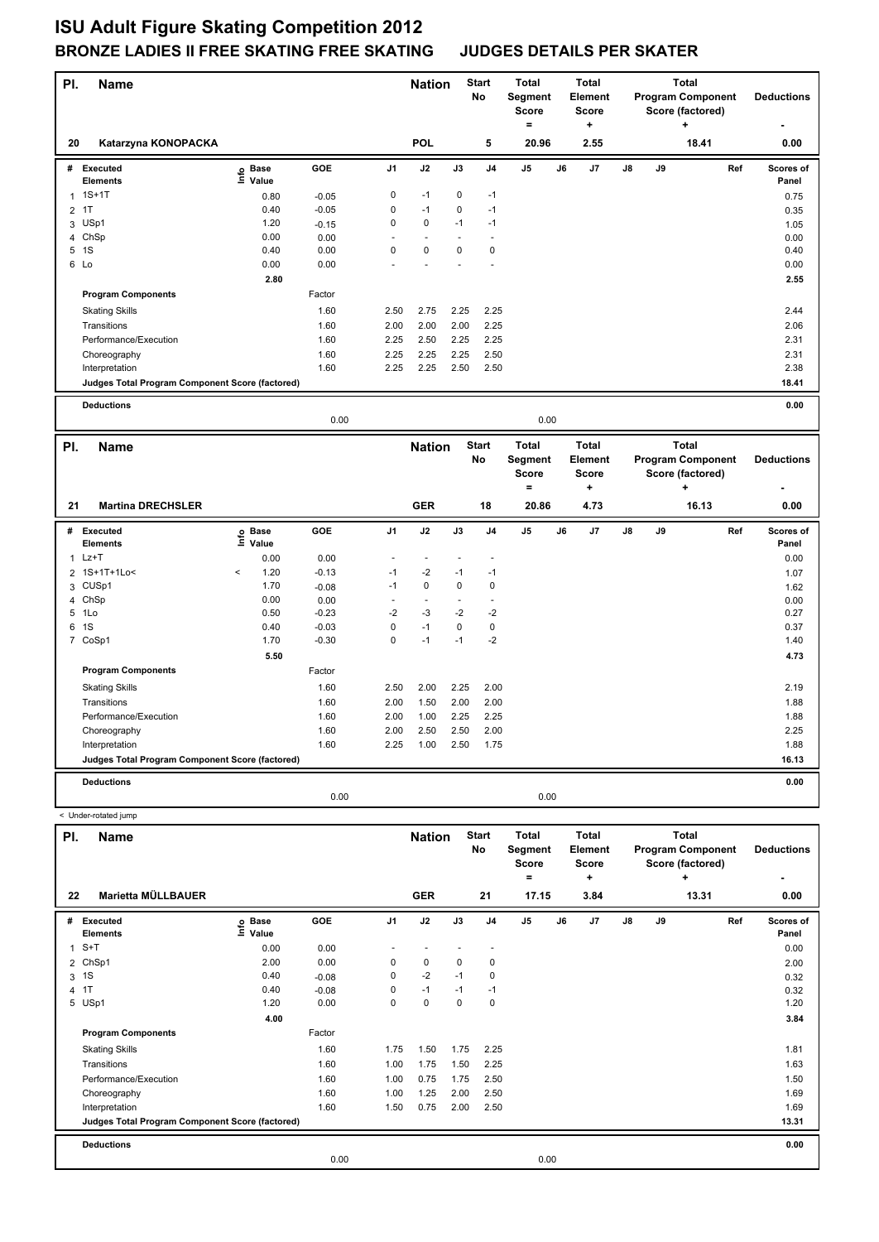| PI.            | Name                                            |                   |              |                | <b>Nation</b>            | No   | <b>Start</b>       | <b>Total</b><br>Segment<br><b>Score</b><br>$=$ |    | <b>Total</b><br><b>Element</b><br>Score<br>+ |    |    | <b>Total</b><br><b>Program Component</b><br>Score (factored)<br>÷ | <b>Deductions</b> |
|----------------|-------------------------------------------------|-------------------|--------------|----------------|--------------------------|------|--------------------|------------------------------------------------|----|----------------------------------------------|----|----|-------------------------------------------------------------------|-------------------|
| 20             | Katarzyna KONOPACKA                             |                   |              |                | <b>POL</b>               |      | 5                  | 20.96                                          |    | 2.55                                         |    |    | 18.41                                                             | 0.00              |
|                | # Executed                                      | e Base<br>⊆ Value | GOE          | J1             | J2                       | J3   | J4                 | J5                                             | J6 | J7                                           | J8 | J9 | Ref                                                               | Scores of         |
|                | Elements                                        |                   |              |                |                          |      |                    |                                                |    |                                              |    |    |                                                                   | Panel             |
| $\mathbf{1}$   | $1S+1T$                                         | 0.80              | $-0.05$      | 0              | $-1$                     | 0    | $-1$               |                                                |    |                                              |    |    |                                                                   | 0.75              |
| $\overline{2}$ | 1T                                              | 0.40              | $-0.05$      | 0              | $-1$                     | 0    | $-1$               |                                                |    |                                              |    |    |                                                                   | 0.35              |
| 3              | USp1                                            | 1.20              | $-0.15$      | 0              | 0                        | $-1$ | $-1$               |                                                |    |                                              |    |    |                                                                   | 1.05              |
|                | 4 ChSp                                          | 0.00              | 0.00         |                | 0                        | 0    | $\blacksquare$     |                                                |    |                                              |    |    |                                                                   | 0.00              |
| 5              | 1S<br>6 Lo                                      | 0.40<br>0.00      | 0.00<br>0.00 | 0              |                          |      | $\mathbf 0$        |                                                |    |                                              |    |    |                                                                   | 0.40<br>0.00      |
|                |                                                 |                   |              |                |                          |      |                    |                                                |    |                                              |    |    |                                                                   |                   |
|                |                                                 | 2.80              |              |                |                          |      |                    |                                                |    |                                              |    |    |                                                                   | 2.55              |
|                | <b>Program Components</b>                       |                   | Factor       |                |                          |      |                    |                                                |    |                                              |    |    |                                                                   |                   |
|                | <b>Skating Skills</b>                           |                   | 1.60         | 2.50           | 2.75                     | 2.25 | 2.25               |                                                |    |                                              |    |    |                                                                   | 2.44              |
|                | Transitions                                     |                   | 1.60         | 2.00           | 2.00                     | 2.00 | 2.25               |                                                |    |                                              |    |    |                                                                   | 2.06              |
|                | Performance/Execution                           |                   | 1.60         | 2.25           | 2.50                     | 2.25 | 2.25               |                                                |    |                                              |    |    |                                                                   | 2.31              |
|                | Choreography                                    |                   | 1.60         | 2.25           | 2.25                     | 2.25 | 2.50               |                                                |    |                                              |    |    |                                                                   | 2.31              |
|                | Interpretation                                  |                   | 1.60         | 2.25           | 2.25                     | 2.50 | 2.50               |                                                |    |                                              |    |    |                                                                   | 2.38              |
|                | Judges Total Program Component Score (factored) |                   |              |                |                          |      |                    |                                                |    |                                              |    |    |                                                                   | 18.41             |
|                | <b>Deductions</b>                               |                   |              |                |                          |      |                    |                                                |    |                                              |    |    |                                                                   | 0.00              |
|                |                                                 |                   | 0.00         |                |                          |      |                    | 0.00                                           |    |                                              |    |    |                                                                   |                   |
| PI.            | <b>Name</b>                                     |                   |              |                | <b>Nation</b>            |      | <b>Start</b>       | <b>Total</b>                                   |    | <b>Total</b>                                 |    |    | <b>Total</b>                                                      |                   |
|                |                                                 |                   |              |                |                          | No   |                    | Segment                                        |    | Element                                      |    |    | <b>Program Component</b>                                          | <b>Deductions</b> |
|                |                                                 |                   |              |                |                          |      |                    | <b>Score</b>                                   |    | Score                                        |    |    | Score (factored)                                                  |                   |
|                |                                                 |                   |              |                |                          |      |                    |                                                |    |                                              |    |    |                                                                   |                   |
|                |                                                 |                   |              |                |                          |      |                    | $\equiv$                                       |    | ٠                                            |    |    | ٠                                                                 |                   |
| 21             | <b>Martina DRECHSLER</b>                        |                   |              |                | <b>GER</b>               |      | 18                 | 20.86                                          |    | 4.73                                         |    |    | 16.13                                                             | 0.00              |
|                | # Executed                                      |                   | GOE          | J <sub>1</sub> | J2                       | J3   | J4                 | J5                                             | J6 | J7                                           | J8 | J9 | Ref                                                               | Scores of         |
|                | <b>Elements</b>                                 | e Base<br>⊆ Value |              |                |                          |      |                    |                                                |    |                                              |    |    |                                                                   | Panel             |
|                | $1$ Lz+T                                        | 0.00              | 0.00         |                | $\overline{\phantom{a}}$ |      |                    |                                                |    |                                              |    |    |                                                                   | 0.00              |
| $\overline{2}$ | 1S+1T+1Lo<                                      | 1.20<br>$\,<$     | $-0.13$      | $-1$           | $-2$                     | $-1$ | $-1$               |                                                |    |                                              |    |    |                                                                   | 1.07              |
|                | 3 CUSp1                                         | 1.70              | $-0.08$      | $-1$           | 0                        | 0    | $\mathbf 0$        |                                                |    |                                              |    |    |                                                                   | 1.62              |
| 4              | ChSp                                            | 0.00              | 0.00         |                | $\sim$                   |      | $\blacksquare$     |                                                |    |                                              |    |    |                                                                   | 0.00              |
|                | 5 1Lo                                           | 0.50              | $-0.23$      | -2             | $-3$                     | $-2$ | $-2$               |                                                |    |                                              |    |    |                                                                   | 0.27              |
|                | 6 1S                                            | 0.40              | $-0.03$      | 0              | $-1$                     | 0    | $\pmb{0}$          |                                                |    |                                              |    |    |                                                                   | 0.37              |
|                | 7 CoSp1                                         | 1.70              | $-0.30$      | $\mathsf 0$    | $-1$                     | $-1$ | $-2$               |                                                |    |                                              |    |    |                                                                   | 1.40              |
|                |                                                 | 5.50              |              |                |                          |      |                    |                                                |    |                                              |    |    |                                                                   | 4.73              |
|                | <b>Program Components</b>                       |                   | Factor       |                |                          |      |                    |                                                |    |                                              |    |    |                                                                   |                   |
|                | <b>Skating Skills</b>                           |                   | 1.60         | 2.50           | 2.00                     | 2.25 | 2.00               |                                                |    |                                              |    |    |                                                                   | 2.19              |
|                | Transitions                                     |                   | 1.60         | 2.00           | 1.50                     | 2.00 | 2.00               |                                                |    |                                              |    |    |                                                                   | 1.88              |
|                | Performance/Execution                           |                   | 1.60         | 2.00           | 1.00                     | 2.25 | 2.25               |                                                |    |                                              |    |    |                                                                   | 1.88              |
|                | Choreography                                    |                   | 1.60         | 2.00           | 2.50                     | 2.50 | 2.00               |                                                |    |                                              |    |    |                                                                   | 2.25              |
|                | Interpretation                                  |                   | 1.60         | 2.25           | 1.00                     | 2.50 | 1.75               |                                                |    |                                              |    |    |                                                                   | 1.88              |
|                | Judges Total Program Component Score (factored) |                   |              |                |                          |      |                    |                                                |    |                                              |    |    |                                                                   | 16.13             |
|                | <b>Deductions</b>                               |                   |              |                |                          |      |                    |                                                |    |                                              |    |    |                                                                   | 0.00              |
|                |                                                 |                   | 0.00         |                |                          |      |                    | 0.00                                           |    |                                              |    |    |                                                                   |                   |
|                | < Under-rotated jump                            |                   |              |                |                          |      |                    |                                                |    |                                              |    |    |                                                                   |                   |
| PI.            | Name                                            |                   |              |                | <b>Nation</b>            |      | <b>Start</b><br>No | <b>Total</b><br>Segment                        |    | <b>Total</b><br>Element                      |    |    | <b>Total</b><br><b>Program Component</b>                          | <b>Deductions</b> |

|              |                                                 |                   |         |                |            |      |                | <b>Score</b> |      | <b>Score</b> |               |    | Score (factored) |     |           |
|--------------|-------------------------------------------------|-------------------|---------|----------------|------------|------|----------------|--------------|------|--------------|---------------|----|------------------|-----|-----------|
|              |                                                 |                   |         |                |            |      |                | =            |      | ٠            |               |    | ÷                |     |           |
| 22           | Marietta MÜLLBAUER                              |                   |         |                | <b>GER</b> |      | 21             | 17.15        |      | 3.84         |               |    | 13.31            |     | 0.00      |
| #            | Executed                                        | e Base<br>⊆ Value | GOE     | J <sub>1</sub> | J2         | J3   | J <sub>4</sub> | J5           | J6   | J7           | $\mathsf{J}8$ | J9 |                  | Ref | Scores of |
|              | <b>Elements</b>                                 |                   |         |                |            |      |                |              |      |              |               |    |                  |     | Panel     |
| $\mathbf{1}$ | $S+T$                                           | 0.00              | 0.00    |                |            |      |                |              |      |              |               |    |                  |     | 0.00      |
|              | 2 ChSp1                                         | 2.00              | 0.00    | 0              | 0          | 0    | 0              |              |      |              |               |    |                  |     | 2.00      |
|              | 3 <sup>1</sup>                                  | 0.40              | $-0.08$ | 0              | $-2$       | $-1$ | 0              |              |      |              |               |    |                  |     | 0.32      |
|              | 4 1T                                            | 0.40              | $-0.08$ | 0              | $-1$       | $-1$ | $-1$           |              |      |              |               |    |                  |     | 0.32      |
|              | 5 USp1                                          | 1.20              | 0.00    | 0              | $\pmb{0}$  | 0    | 0              |              |      |              |               |    |                  |     | 1.20      |
|              |                                                 | 4.00              |         |                |            |      |                |              |      |              |               |    |                  |     | 3.84      |
|              | <b>Program Components</b>                       |                   | Factor  |                |            |      |                |              |      |              |               |    |                  |     |           |
|              | <b>Skating Skills</b>                           |                   | 1.60    | 1.75           | 1.50       | 1.75 | 2.25           |              |      |              |               |    |                  |     | 1.81      |
|              | Transitions                                     |                   | 1.60    | 1.00           | 1.75       | 1.50 | 2.25           |              |      |              |               |    |                  |     | 1.63      |
|              | Performance/Execution                           |                   | 1.60    | 1.00           | 0.75       | 1.75 | 2.50           |              |      |              |               |    |                  |     | 1.50      |
|              | Choreography                                    |                   | 1.60    | 1.00           | 1.25       | 2.00 | 2.50           |              |      |              |               |    |                  |     | 1.69      |
|              | Interpretation                                  |                   | 1.60    | 1.50           | 0.75       | 2.00 | 2.50           |              |      |              |               |    |                  |     | 1.69      |
|              | Judges Total Program Component Score (factored) |                   |         |                |            |      |                |              |      |              |               |    |                  |     | 13.31     |
|              | <b>Deductions</b>                               |                   |         |                |            |      |                |              |      |              |               |    |                  |     | 0.00      |
|              |                                                 |                   | 0.00    |                |            |      |                |              | 0.00 |              |               |    |                  |     |           |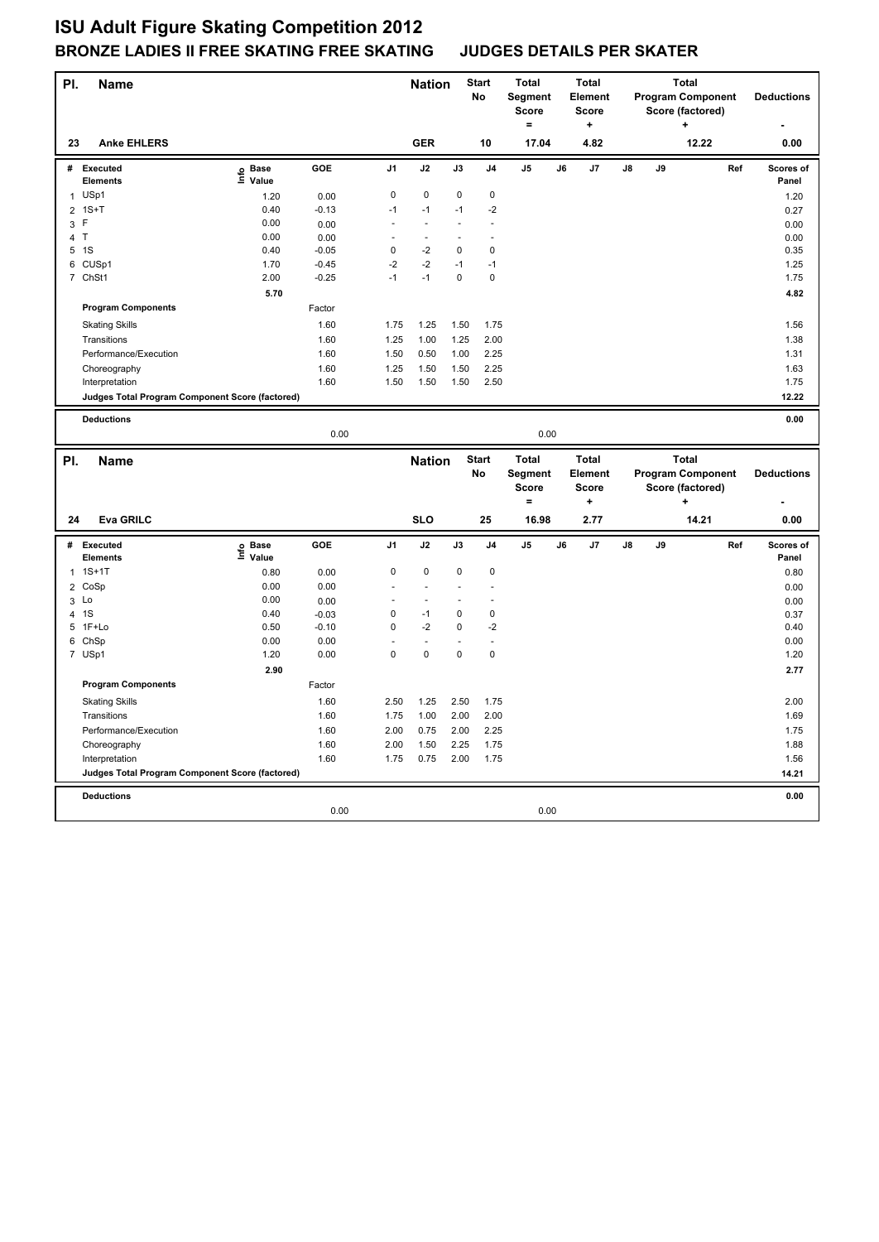| PI.            | Name                                            |                   |                 |                | <b>Nation</b>  |             | <b>Start</b><br>No | <b>Total</b><br>Segment<br><b>Score</b><br>$\equiv$ |    | <b>Total</b><br><b>Element</b><br><b>Score</b><br>÷ |    |    | <b>Total</b><br><b>Program Component</b><br>Score (factored) |     | <b>Deductions</b>  |
|----------------|-------------------------------------------------|-------------------|-----------------|----------------|----------------|-------------|--------------------|-----------------------------------------------------|----|-----------------------------------------------------|----|----|--------------------------------------------------------------|-----|--------------------|
| 23             | <b>Anke EHLERS</b>                              |                   |                 |                | <b>GER</b>     |             | 10                 | 17.04                                               |    | 4.82                                                |    |    | 12.22                                                        |     | 0.00               |
|                | # Executed<br>Elements                          | e Base<br>⊑ Value | GOE             | J1             | J2             | J3          | J4                 | J5                                                  | J6 | J7                                                  | J8 | J9 |                                                              | Ref | Scores of<br>Panel |
| $\mathbf{1}$   | USp1                                            | 1.20              | 0.00            | 0              | 0              | 0           | 0                  |                                                     |    |                                                     |    |    |                                                              |     | 1.20               |
|                | $2$ 1S+T                                        | 0.40              | $-0.13$         | $-1$           | $-1$           | $-1$        | $-2$               |                                                     |    |                                                     |    |    |                                                              |     | 0.27               |
| 3              | F                                               | 0.00              | 0.00            | ÷,             | ÷.             |             | ÷,                 |                                                     |    |                                                     |    |    |                                                              |     | 0.00               |
|                | 4 T                                             | 0.00              | 0.00            | ÷,             | ÷,             |             | l,                 |                                                     |    |                                                     |    |    |                                                              |     | 0.00               |
|                | 5 <sub>1</sub> S                                | 0.40              | $-0.05$         | 0              | $-2$           | $\mathbf 0$ | $\mathbf 0$        |                                                     |    |                                                     |    |    |                                                              |     | 0.35               |
| 6              | CUSp1                                           | 1.70              | $-0.45$         | $-2$           | $-2$           | $-1$        | $-1$               |                                                     |    |                                                     |    |    |                                                              |     | 1.25               |
|                | 7 ChSt1                                         | 2.00              | $-0.25$         | $-1$           | $-1$           | $\mathbf 0$ | $\mathbf 0$        |                                                     |    |                                                     |    |    |                                                              |     | 1.75               |
|                |                                                 | 5.70              |                 |                |                |             |                    |                                                     |    |                                                     |    |    |                                                              |     | 4.82               |
|                | <b>Program Components</b>                       |                   | Factor          |                |                |             |                    |                                                     |    |                                                     |    |    |                                                              |     |                    |
|                | <b>Skating Skills</b>                           |                   | 1.60            | 1.75           | 1.25           | 1.50        | 1.75               |                                                     |    |                                                     |    |    |                                                              |     | 1.56               |
|                | Transitions                                     |                   | 1.60            | 1.25           | 1.00           | 1.25        | 2.00               |                                                     |    |                                                     |    |    |                                                              |     | 1.38               |
|                | Performance/Execution                           |                   | 1.60            | 1.50           | 0.50           | 1.00        | 2.25               |                                                     |    |                                                     |    |    |                                                              |     | 1.31               |
|                | Choreography                                    |                   | 1.60            | 1.25           | 1.50           | 1.50        | 2.25               |                                                     |    |                                                     |    |    |                                                              |     | 1.63               |
|                | Interpretation                                  |                   | 1.60            | 1.50           | 1.50           | 1.50        | 2.50               |                                                     |    |                                                     |    |    |                                                              |     | 1.75               |
|                | Judges Total Program Component Score (factored) |                   |                 |                |                |             |                    |                                                     |    |                                                     |    |    |                                                              |     | 12.22              |
|                | <b>Deductions</b>                               |                   |                 |                |                |             |                    |                                                     |    |                                                     |    |    |                                                              |     | 0.00               |
|                |                                                 |                   | 0.00            |                |                |             |                    | 0.00                                                |    |                                                     |    |    |                                                              |     |                    |
|                |                                                 |                   |                 |                |                |             |                    |                                                     |    |                                                     |    |    |                                                              |     |                    |
| PI.            |                                                 |                   |                 |                |                |             |                    |                                                     |    |                                                     |    |    | <b>Total</b>                                                 |     |                    |
|                | <b>Name</b>                                     |                   |                 |                |                |             | <b>Start</b>       | <b>Total</b>                                        |    | <b>Total</b>                                        |    |    |                                                              |     |                    |
|                |                                                 |                   |                 |                | <b>Nation</b>  |             | No                 | Segment                                             |    | Element                                             |    |    | <b>Program Component</b>                                     |     | <b>Deductions</b>  |
|                |                                                 |                   |                 |                |                |             |                    | <b>Score</b>                                        |    | <b>Score</b>                                        |    |    | Score (factored)                                             |     |                    |
|                |                                                 |                   |                 |                |                |             |                    | $=$                                                 |    | $\ddot{}$                                           |    |    | $\ddot{}$                                                    |     |                    |
| 24             | <b>Eva GRILC</b>                                |                   |                 |                | <b>SLO</b>     |             | 25                 | 16.98                                               |    | 2.77                                                |    |    | 14.21                                                        |     | 0.00               |
| #              | Executed<br>Elements                            |                   | <b>GOE</b>      | J <sub>1</sub> | J2             | J3          | J4                 | J <sub>5</sub>                                      | J6 | J7                                                  | J8 | J9 |                                                              | Ref | Scores of<br>Panel |
| 1              | $1S+1T$                                         | e Base<br>⊑ Value |                 | 0              | $\pmb{0}$      | $\mathbf 0$ | $\mathbf 0$        |                                                     |    |                                                     |    |    |                                                              |     |                    |
|                |                                                 | 0.80              | 0.00            | ÷,             | ÷,             |             | l,                 |                                                     |    |                                                     |    |    |                                                              |     | 0.80               |
| $\overline{2}$ | CoSp                                            | 0.00<br>0.00      | 0.00            |                | $\blacksquare$ |             |                    |                                                     |    |                                                     |    |    |                                                              |     | 0.00               |
| $\overline{4}$ | 3 Lo<br>1S                                      | 0.40              | 0.00<br>$-0.03$ | 0              | $-1$           | $\pmb{0}$   | $\pmb{0}$          |                                                     |    |                                                     |    |    |                                                              |     | 0.00<br>0.37       |
| 5              | 1F+Lo                                           | 0.50              | $-0.10$         | 0              | $-2$           | 0           | $-2$               |                                                     |    |                                                     |    |    |                                                              |     | 0.40               |
|                | 6 ChSp                                          | 0.00              | 0.00            |                | $\overline{a}$ |             | ÷,                 |                                                     |    |                                                     |    |    |                                                              |     | 0.00               |
|                | 7 USp1                                          | 1.20              | 0.00            | 0              | $\mathbf 0$    | $\mathbf 0$ | $\mathbf 0$        |                                                     |    |                                                     |    |    |                                                              |     | 1.20               |
|                |                                                 | 2.90              |                 |                |                |             |                    |                                                     |    |                                                     |    |    |                                                              |     | 2.77               |
|                | <b>Program Components</b>                       |                   | Factor          |                |                |             |                    |                                                     |    |                                                     |    |    |                                                              |     |                    |
|                |                                                 |                   |                 |                |                |             |                    |                                                     |    |                                                     |    |    |                                                              |     |                    |
|                | <b>Skating Skills</b>                           |                   | 1.60            | 2.50           | 1.25           | 2.50        | 1.75               |                                                     |    |                                                     |    |    |                                                              |     | 2.00               |
|                | Transitions                                     |                   | 1.60            | 1.75           | 1.00           | 2.00        | 2.00               |                                                     |    |                                                     |    |    |                                                              |     | 1.69               |
|                | Performance/Execution                           |                   | 1.60            | 2.00           | 0.75           | 2.00        | 2.25               |                                                     |    |                                                     |    |    |                                                              |     | 1.75               |
|                | Choreography                                    |                   | 1.60            | 2.00           | 1.50           | 2.25        | 1.75               |                                                     |    |                                                     |    |    |                                                              |     | 1.88               |
|                | Interpretation                                  |                   | 1.60            | 1.75           | 0.75           | 2.00        | 1.75               |                                                     |    |                                                     |    |    |                                                              |     | 1.56               |
|                | Judges Total Program Component Score (factored) |                   |                 |                |                |             |                    |                                                     |    |                                                     |    |    |                                                              |     | 14.21              |
|                | <b>Deductions</b>                               |                   |                 |                |                |             |                    |                                                     |    |                                                     |    |    |                                                              |     | 0.00               |
|                |                                                 |                   | 0.00            |                |                |             |                    | 0.00                                                |    |                                                     |    |    |                                                              |     |                    |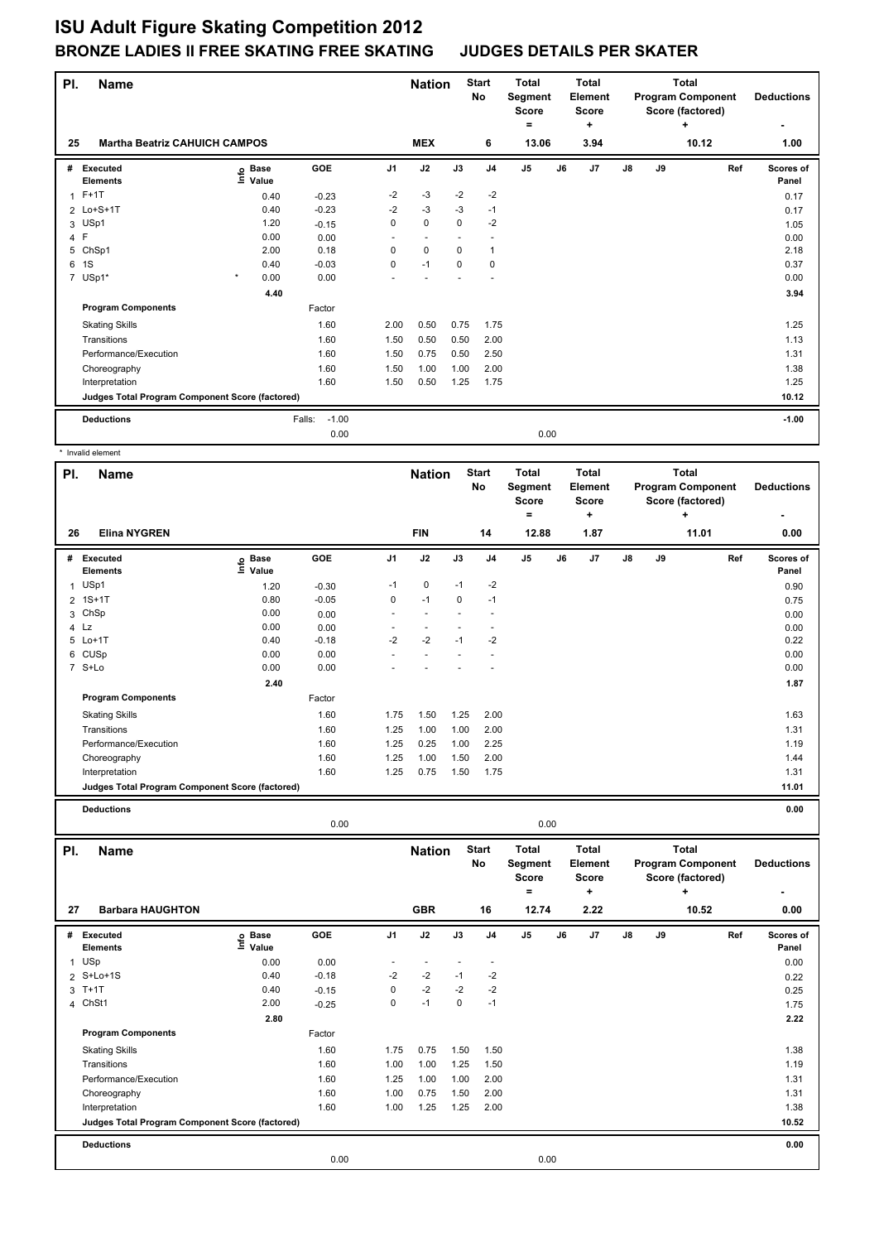| PI. | <b>Name</b>                                     |                                   |                   |                | <b>Nation</b> |          | <b>Start</b><br>No | <b>Total</b><br>Segment<br><b>Score</b><br>۰ | <b>Total</b><br>Element<br><b>Score</b><br>÷ |            |    | <b>Total</b><br><b>Program Component</b><br>Score (factored)<br>٠ | <b>Deductions</b>  |
|-----|-------------------------------------------------|-----------------------------------|-------------------|----------------|---------------|----------|--------------------|----------------------------------------------|----------------------------------------------|------------|----|-------------------------------------------------------------------|--------------------|
| 25  | <b>Martha Beatriz CAHUICH CAMPOS</b>            |                                   |                   |                | <b>MEX</b>    |          | 6                  | 13.06                                        | 3.94                                         |            |    | 10.12                                                             | 1.00               |
| #   | Executed<br><b>Elements</b>                     | <b>Base</b><br>ຼe Base<br>⊑ Value | GOE               | J <sub>1</sub> | J2            | J3       | J <sub>4</sub>     | J <sub>5</sub>                               | J7<br>J6                                     | ${\sf J8}$ | J9 | Ref                                                               | Scores of<br>Panel |
|     | $1$ F+1T                                        | 0.40                              | $-0.23$           | $-2$           | $-3$          | $-2$     | $-2$               |                                              |                                              |            |    |                                                                   | 0.17               |
|     | 2 Lo+S+1T                                       | 0.40                              | $-0.23$           | $-2$           | $-3$          | $-3$     | $-1$               |                                              |                                              |            |    |                                                                   | 0.17               |
|     | 3 USp1                                          | 1.20                              | $-0.15$           | 0              | $\mathbf 0$   | $\Omega$ | $-2$               |                                              |                                              |            |    |                                                                   | 1.05               |
|     | 4 F                                             | 0.00                              | 0.00              |                |               |          |                    |                                              |                                              |            |    |                                                                   | 0.00               |
| 5   | ChSp1                                           | 2.00                              | 0.18              | 0              | $\mathbf 0$   | 0        | 1                  |                                              |                                              |            |    |                                                                   | 2.18               |
| 6   | 1S                                              | 0.40                              | $-0.03$           | 0              | $-1$          | 0        | 0                  |                                              |                                              |            |    |                                                                   | 0.37               |
|     | 7 USp1*                                         | $\star$<br>0.00                   | 0.00              |                |               |          |                    |                                              |                                              |            |    |                                                                   | 0.00               |
|     |                                                 | 4.40                              |                   |                |               |          |                    |                                              |                                              |            |    |                                                                   | 3.94               |
|     | <b>Program Components</b>                       |                                   | Factor            |                |               |          |                    |                                              |                                              |            |    |                                                                   |                    |
|     | <b>Skating Skills</b>                           |                                   | 1.60              | 2.00           | 0.50          | 0.75     | 1.75               |                                              |                                              |            |    |                                                                   | 1.25               |
|     | Transitions                                     |                                   | 1.60              | 1.50           | 0.50          | 0.50     | 2.00               |                                              |                                              |            |    |                                                                   | 1.13               |
|     | Performance/Execution                           |                                   | 1.60              | 1.50           | 0.75          | 0.50     | 2.50               |                                              |                                              |            |    |                                                                   | 1.31               |
|     | Choreography                                    |                                   | 1.60              | 1.50           | 1.00          | 1.00     | 2.00               |                                              |                                              |            |    |                                                                   | 1.38               |
|     | Interpretation                                  |                                   | 1.60              | 1.50           | 0.50          | 1.25     | 1.75               |                                              |                                              |            |    |                                                                   | 1.25               |
|     | Judges Total Program Component Score (factored) |                                   |                   |                |               |          |                    |                                              |                                              |            |    |                                                                   | 10.12              |
|     | <b>Deductions</b>                               |                                   | $-1.00$<br>Falls: |                |               |          |                    |                                              |                                              |            |    |                                                                   | $-1.00$            |
|     |                                                 |                                   | 0.00              |                |               |          |                    | 0.00                                         |                                              |            |    |                                                                   |                    |
|     |                                                 |                                   |                   |                |               |          |                    |                                              |                                              |            |    |                                                                   |                    |

\* Invalid element

| PI.            | <b>Name</b>                                     |                    |         |                | <b>Nation</b>            |             | <b>Start</b><br>No | <b>Total</b><br>Segment<br>Score<br>$\equiv$ |    | <b>Total</b><br><b>Element</b><br><b>Score</b><br>$\ddot{}$ |    |    | <b>Total</b><br><b>Program Component</b><br>Score (factored)<br>$\ddot{}$ |     | <b>Deductions</b>  |
|----------------|-------------------------------------------------|--------------------|---------|----------------|--------------------------|-------------|--------------------|----------------------------------------------|----|-------------------------------------------------------------|----|----|---------------------------------------------------------------------------|-----|--------------------|
| 26             | <b>Elina NYGREN</b>                             |                    |         |                | <b>FIN</b>               |             | 14                 | 12.88                                        |    | 1.87                                                        |    |    | 11.01                                                                     |     | 0.00               |
|                | # Executed<br>Elements                          | e Base<br>⊑ Value  | GOE     | J <sub>1</sub> | J2                       | J3          | J <sub>4</sub>     | J5                                           | J6 | J7                                                          | J8 | J9 |                                                                           | Ref | Scores of<br>Panel |
| $\mathbf{1}$   | USp1                                            | 1.20               | $-0.30$ | $-1$           | $\mathbf 0$              | $-1$        | $-2$               |                                              |    |                                                             |    |    |                                                                           |     | 0.90               |
| $\overline{2}$ | $1S+1T$                                         | 0.80               | $-0.05$ | $\mathbf 0$    | $-1$                     | $\mathbf 0$ | $-1$               |                                              |    |                                                             |    |    |                                                                           |     | 0.75               |
| 3              | ChSp                                            | 0.00               | 0.00    | $\overline{a}$ | ÷.                       |             | ÷.                 |                                              |    |                                                             |    |    |                                                                           |     | 0.00               |
|                | 4 Lz                                            | 0.00               | 0.00    | $\bar{a}$      | $\overline{\phantom{a}}$ |             | ÷,                 |                                              |    |                                                             |    |    |                                                                           |     | 0.00               |
|                | 5 Lo+1T                                         | 0.40               | $-0.18$ | $-2$           | $-2$                     | -1          | $-2$               |                                              |    |                                                             |    |    |                                                                           |     | 0.22               |
|                | 6 CUSp                                          | 0.00               | 0.00    | ٠              | $\overline{a}$           |             | $\overline{a}$     |                                              |    |                                                             |    |    |                                                                           |     | 0.00               |
|                | 7 S+Lo                                          | 0.00               | 0.00    |                |                          |             |                    |                                              |    |                                                             |    |    |                                                                           |     | 0.00               |
|                |                                                 | 2.40               |         |                |                          |             |                    |                                              |    |                                                             |    |    |                                                                           |     | 1.87               |
|                | <b>Program Components</b>                       |                    | Factor  |                |                          |             |                    |                                              |    |                                                             |    |    |                                                                           |     |                    |
|                | <b>Skating Skills</b>                           |                    | 1.60    | 1.75           | 1.50                     | 1.25        | 2.00               |                                              |    |                                                             |    |    |                                                                           |     | 1.63               |
|                | Transitions                                     |                    | 1.60    | 1.25           | 1.00                     | 1.00        | 2.00               |                                              |    |                                                             |    |    |                                                                           |     | 1.31               |
|                | Performance/Execution                           |                    | 1.60    | 1.25           | 0.25                     | 1.00        | 2.25               |                                              |    |                                                             |    |    |                                                                           |     | 1.19               |
|                | Choreography                                    |                    | 1.60    | 1.25           | 1.00                     | 1.50        | 2.00               |                                              |    |                                                             |    |    |                                                                           |     | 1.44               |
|                | Interpretation                                  |                    | 1.60    | 1.25           | 0.75                     | 1.50        | 1.75               |                                              |    |                                                             |    |    |                                                                           |     | 1.31               |
|                | Judges Total Program Component Score (factored) |                    |         |                |                          |             |                    |                                              |    |                                                             |    |    |                                                                           |     | 11.01              |
|                |                                                 |                    |         |                |                          |             |                    |                                              |    |                                                             |    |    |                                                                           |     |                    |
|                | <b>Deductions</b>                               |                    | 0.00    |                |                          |             |                    | 0.00                                         |    |                                                             |    |    |                                                                           |     | 0.00               |
|                |                                                 |                    |         |                |                          |             |                    |                                              |    |                                                             |    |    |                                                                           |     |                    |
| PI.            | <b>Name</b>                                     |                    |         |                | <b>Nation</b>            |             | <b>Start</b>       | <b>Total</b>                                 |    | <b>Total</b>                                                |    |    | <b>Total</b>                                                              |     |                    |
|                |                                                 |                    |         |                |                          |             | No                 | Segment                                      |    | Element                                                     |    |    | <b>Program Component</b>                                                  |     | <b>Deductions</b>  |
|                |                                                 |                    |         |                |                          |             |                    | <b>Score</b>                                 |    | <b>Score</b>                                                |    |    | Score (factored)                                                          |     |                    |
|                |                                                 |                    |         |                |                          |             |                    | $\equiv$                                     |    | +                                                           |    |    | ÷                                                                         |     |                    |
| 27             | <b>Barbara HAUGHTON</b>                         |                    |         |                | <b>GBR</b>               |             |                    |                                              |    |                                                             |    |    | 10.52                                                                     |     | 0.00               |
|                | # Executed                                      |                    |         |                |                          |             | 16                 | 12.74                                        |    | 2.22                                                        |    |    |                                                                           |     |                    |
| $\mathbf{1}$   | Elements                                        | $\frac{6}{5}$ Base | GOE     | J <sub>1</sub> | J2                       | J3          | J <sub>4</sub>     | J5                                           | J6 | J7                                                          | J8 | J9 |                                                                           | Ref | Scores of<br>Panel |
|                | USp                                             | 0.00               | 0.00    | $\sim$         | $\overline{\phantom{a}}$ | L.          | $\bar{z}$          |                                              |    |                                                             |    |    |                                                                           |     | 0.00               |
| $\overline{2}$ | $S+Lo+1S$                                       | 0.40               | $-0.18$ | $-2$           | $-2$                     | $-1$        | $-2$               |                                              |    |                                                             |    |    |                                                                           |     | 0.22               |
|                | $3T+1T$                                         | 0.40               | $-0.15$ | $\mathbf 0$    | $-2$                     | $-2$        | $-2$               |                                              |    |                                                             |    |    |                                                                           |     | 0.25               |
| $\overline{4}$ | ChSt1                                           | 2.00               | $-0.25$ | $\mathbf 0$    | $-1$                     | $\mathbf 0$ | $-1$               |                                              |    |                                                             |    |    |                                                                           |     | 1.75               |
|                |                                                 | 2.80               |         |                |                          |             |                    |                                              |    |                                                             |    |    |                                                                           |     | 2.22               |
|                | <b>Program Components</b>                       |                    | Factor  |                |                          |             |                    |                                              |    |                                                             |    |    |                                                                           |     |                    |
|                | <b>Skating Skills</b>                           |                    | 1.60    | 1.75           | 0.75                     | 1.50        | 1.50               |                                              |    |                                                             |    |    |                                                                           |     | 1.38               |
|                | Transitions                                     |                    | 1.60    | 1.00           | 1.00                     | 1.25        | 1.50               |                                              |    |                                                             |    |    |                                                                           |     | 1.19               |
|                |                                                 |                    |         |                |                          |             |                    |                                              |    |                                                             |    |    |                                                                           |     |                    |
|                | Performance/Execution                           |                    | 1.60    | 1.25           | 1.00                     | 1.00        | 2.00               |                                              |    |                                                             |    |    |                                                                           |     | 1.31               |
|                | Choreography                                    |                    | 1.60    | 1.00           | 0.75                     | 1.50        | 2.00               |                                              |    |                                                             |    |    |                                                                           |     | 1.31               |
|                | Interpretation                                  |                    | 1.60    | 1.00           | 1.25                     | 1.25        | 2.00               |                                              |    |                                                             |    |    |                                                                           |     | 1.38<br>10.52      |
|                | Judges Total Program Component Score (factored) |                    |         |                |                          |             |                    |                                              |    |                                                             |    |    |                                                                           |     |                    |
|                | <b>Deductions</b>                               |                    | 0.00    |                |                          |             |                    | 0.00                                         |    |                                                             |    |    |                                                                           |     | 0.00               |